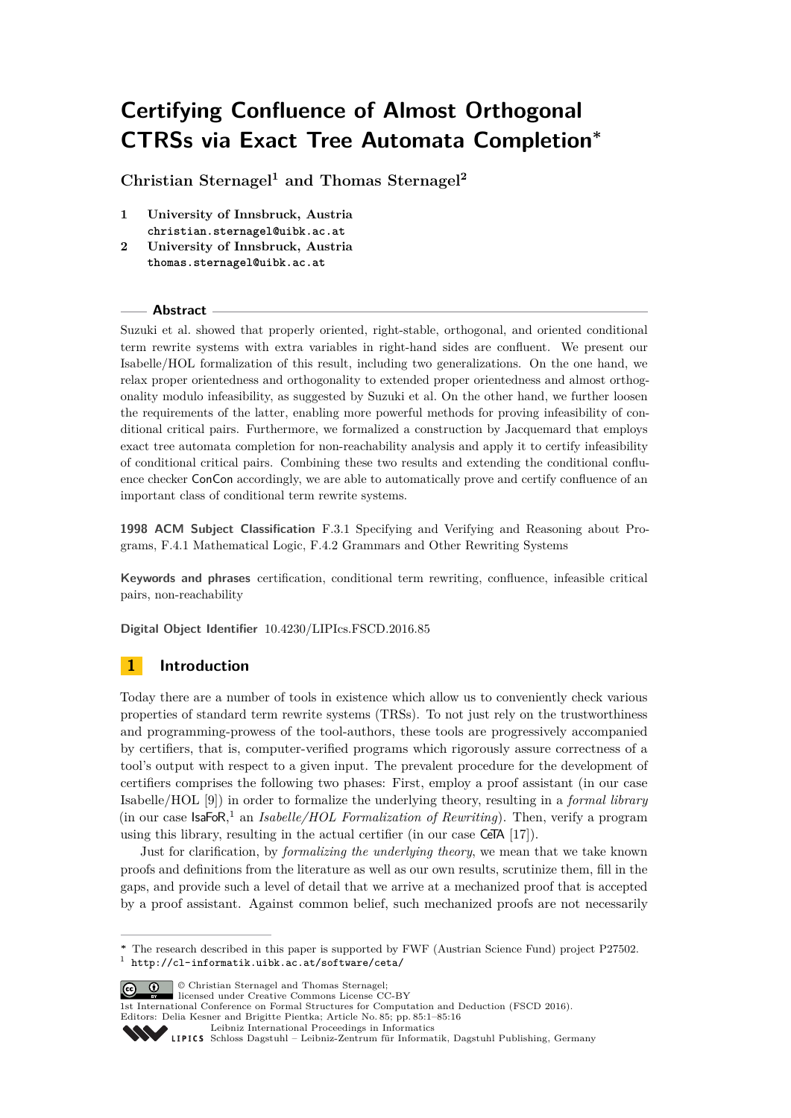# **Certifying Confluence of Almost Orthogonal CTRSs via Exact Tree Automata Completion<sup>∗</sup>**

**Christian Sternagel<sup>1</sup> and Thomas Sternagel<sup>2</sup>**

- **1 University of Innsbruck, Austria christian.sternagel@uibk.ac.at**
- **2 University of Innsbruck, Austria thomas.sternagel@uibk.ac.at**

## **Abstract**

Suzuki et al. showed that properly oriented, right-stable, orthogonal, and oriented conditional term rewrite systems with extra variables in right-hand sides are confluent. We present our Isabelle/HOL formalization of this result, including two generalizations. On the one hand, we relax proper orientedness and orthogonality to extended proper orientedness and almost orthogonality modulo infeasibility, as suggested by Suzuki et al. On the other hand, we further loosen the requirements of the latter, enabling more powerful methods for proving infeasibility of conditional critical pairs. Furthermore, we formalized a construction by Jacquemard that employs exact tree automata completion for non-reachability analysis and apply it to certify infeasibility of conditional critical pairs. Combining these two results and extending the conditional confluence checker ConCon accordingly, we are able to automatically prove and certify confluence of an important class of conditional term rewrite systems.

**1998 ACM Subject Classification** F.3.1 Specifying and Verifying and Reasoning about Programs, F.4.1 Mathematical Logic, F.4.2 Grammars and Other Rewriting Systems

**Keywords and phrases** certification, conditional term rewriting, confluence, infeasible critical pairs, non-reachability

**Digital Object Identifier** [10.4230/LIPIcs.FSCD.2016.85](http://dx.doi.org/10.4230/LIPIcs.FSCD.2016.85)

# **1 Introduction**

Today there are a number of tools in existence which allow us to conveniently check various properties of standard term rewrite systems (TRSs). To not just rely on the trustworthiness and programming-prowess of the tool-authors, these tools are progressively accompanied by certifiers, that is, computer-verified programs which rigorously assure correctness of a tool's output with respect to a given input. The prevalent procedure for the development of certifiers comprises the following two phases: First, employ a proof assistant (in our case Isabelle/HOL [\[9\]](#page-14-0)) in order to formalize the underlying theory, resulting in a *formal library* (in our case IsaFoR, [1](#page-0-0) an *Isabelle/HOL Formalization of Rewriting*). Then, verify a program using this library, resulting in the actual certifier (in our case CeTA [\[17\]](#page-15-0)).

Just for clarification, by *formalizing the underlying theory*, we mean that we take known proofs and definitions from the literature as well as our own results, scrutinize them, fill in the gaps, and provide such a level of detail that we arrive at a mechanized proof that is accepted by a proof assistant. Against common belief, such mechanized proofs are not necessarily

**C**  $\bullet$  © Christian Sternagel and Thomas Sternagel:

[Leibniz International Proceedings in Informatics](http://www.dagstuhl.de/lipics/)

<span id="page-0-0"></span>**<sup>∗</sup>** The research described in this paper is supported by FWF (Austrian Science Fund) project P27502. 1 <http://cl-informatik.uibk.ac.at/software/ceta/>

licensed under Creative Commons License CC-BY 1st International Conference on Formal Structures for Computation and Deduction (FSCD 2016). Editors: Delia Kesner and Brigitte Pientka; Article No. 85; pp. 85:1–85[:16](#page-15-1)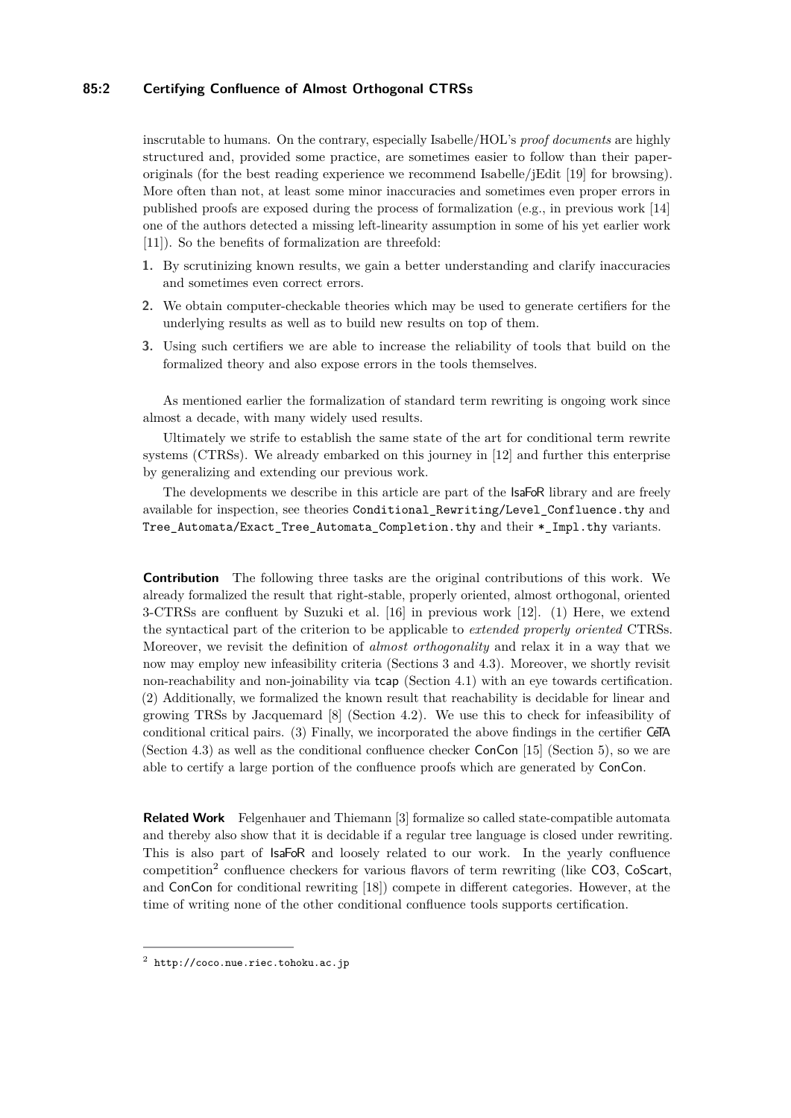# **85:2 Certifying Confluence of Almost Orthogonal CTRSs**

inscrutable to humans. On the contrary, especially Isabelle/HOL's *proof documents* are highly structured and, provided some practice, are sometimes easier to follow than their paperoriginals (for the best reading experience we recommend Isabelle/jEdit [\[19\]](#page-15-2) for browsing). More often than not, at least some minor inaccuracies and sometimes even proper errors in published proofs are exposed during the process of formalization (e.g., in previous work [\[14\]](#page-15-3) one of the authors detected a missing left-linearity assumption in some of his yet earlier work [\[11\]](#page-14-1)). So the benefits of formalization are threefold:

- **1.** By scrutinizing known results, we gain a better understanding and clarify inaccuracies and sometimes even correct errors.
- **2.** We obtain computer-checkable theories which may be used to generate certifiers for the underlying results as well as to build new results on top of them.
- **3.** Using such certifiers we are able to increase the reliability of tools that build on the formalized theory and also expose errors in the tools themselves.

As mentioned earlier the formalization of standard term rewriting is ongoing work since almost a decade, with many widely used results.

Ultimately we strife to establish the same state of the art for conditional term rewrite systems (CTRSs). We already embarked on this journey in [\[12\]](#page-14-2) and further this enterprise by generalizing and extending our previous work.

The developments we describe in this article are part of the **IsaFoR** library and are freely available for inspection, see theories [Conditional\\_Rewriting/Level\\_Confluence.thy](http://cl2-informatik.uibk.ac.at/rewriting/mercurial.cgi/IsaFoR/file/15b94f4b3d9b/thys/Conditional_Rewriting/Level_Confluence.thy) and [Tree\\_Automata/Exact\\_Tree\\_Automata\\_Completion.thy](http://cl2-informatik.uibk.ac.at/rewriting/mercurial.cgi/IsaFoR/file/15b94f4b3d9b/thys/Tree_Automata/Exact_Tree_Automata_Completion.thy) and their \*\_Impl.thy variants.

**Contribution** The following three tasks are the original contributions of this work. We already formalized the result that right-stable, properly oriented, almost orthogonal, oriented 3-CTRSs are confluent by Suzuki et al. [\[16\]](#page-15-4) in previous work [\[12\]](#page-14-2). (1) Here, we extend the syntactical part of the criterion to be applicable to *extended properly oriented* CTRSs. Moreover, we revisit the definition of *almost orthogonality* and relax it in a way that we now may employ new infeasibility criteria (Sections [3](#page-3-0) and [4.3\)](#page-10-0). Moreover, we shortly revisit non-reachability and non-joinability via tcap (Section [4.1\)](#page-6-0) with an eye towards certification. (2) Additionally, we formalized the known result that reachability is decidable for linear and growing TRSs by Jacquemard [\[8\]](#page-14-3) (Section [4.2\)](#page-6-1). We use this to check for infeasibility of conditional critical pairs. (3) Finally, we incorporated the above findings in the certifier CeTA (Section [4.3\)](#page-10-0) as well as the conditional confluence checker ConCon [\[15\]](#page-15-5) (Section [5\)](#page-12-0), so we are able to certify a large portion of the confluence proofs which are generated by ConCon.

**Related Work** Felgenhauer and Thiemann [\[3\]](#page-14-4) formalize so called state-compatible automata and thereby also show that it is decidable if a regular tree language is closed under rewriting. This is also part of IsaFoR and loosely related to our work. In the yearly confluence competition<sup>[2](#page-1-0)</sup> confluence checkers for various flavors of term rewriting (like CO3, CoScart, and ConCon for conditional rewriting [\[18\]](#page-15-6)) compete in different categories. However, at the time of writing none of the other conditional confluence tools supports certification.

<span id="page-1-0"></span> $^2$  <http://coco.nue.riec.tohoku.ac.jp>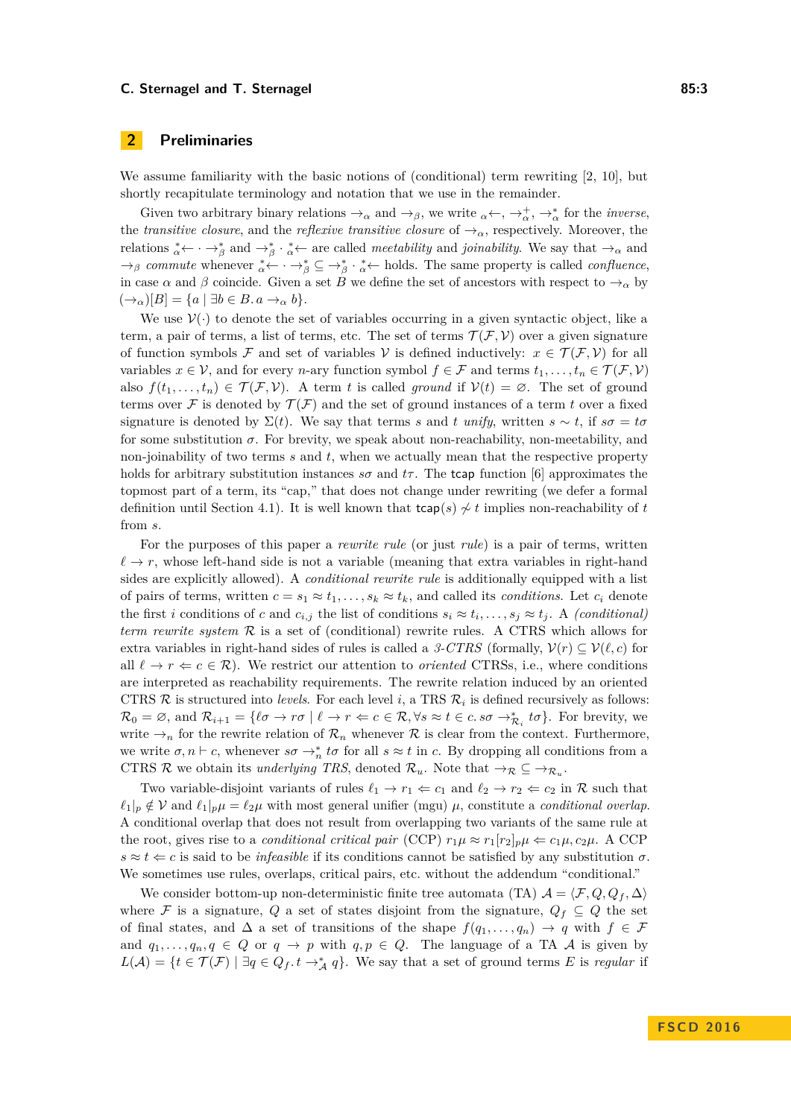We assume familiarity with the basic notions of (conditional) term rewriting [\[2,](#page-14-5) [10\]](#page-14-6), but shortly recapitulate terminology and notation that we use in the remainder.

Given two arbitrary binary relations  $\rightarrow_{\alpha}$  and  $\rightarrow_{\beta}$ , we write  $_{\alpha} \leftarrow, \rightarrow_{\alpha}^{+}$ ,  $\rightarrow_{\alpha}^{*}$  for the *inverse*, the *transitive closure*, and the *reflexive transitive closure* of  $\rightarrow_{\alpha}$ , respectively. Moreover, the relations  $\alpha^* \leftarrow \alpha \rightarrow^*_{\beta}$  and  $\rightarrow^*_{\beta} \alpha \leftarrow \alpha$  are called *meetability* and *joinability*. We say that  $\rightarrow_{\alpha}$  and  $\rightarrow$ <sub>*β*</sub> *commute* whenever  $\alpha^* \leftarrow \cdots \rightarrow^*_{\beta} \subseteq \rightarrow^*_{\beta} \cdots \alpha^*$  holds. The same property is called *confluence*, in case  $\alpha$  and  $\beta$  coincide. Given a set *B* we define the set of ancestors with respect to  $\rightarrow_{\alpha}$  by  $(\rightarrow_{\alpha})[B] = \{a \mid \exists b \in B \ldotp a \rightarrow_{\alpha} b\}.$ 

We use  $V(\cdot)$  to denote the set of variables occurring in a given syntactic object, like a term, a pair of terms, a list of terms, etc. The set of terms  $\mathcal{T}(\mathcal{F}, \mathcal{V})$  over a given signature of function symbols F and set of variables V is defined inductively:  $x \in \mathcal{T}(\mathcal{F}, \mathcal{V})$  for all variables  $x \in V$ , and for every *n*-ary function symbol  $f \in \mathcal{F}$  and terms  $t_1, \ldots, t_n \in \mathcal{T}(\mathcal{F}, V)$ also  $f(t_1, \ldots, t_n) \in \mathcal{T}(\mathcal{F}, \mathcal{V})$ . A term *t* is called *ground* if  $\mathcal{V}(t) = \emptyset$ . The set of ground terms over F is denoted by  $\mathcal{T}(\mathcal{F})$  and the set of ground instances of a term t over a fixed signature is denoted by  $\Sigma(t)$ . We say that terms *s* and *t unify*, written  $s \sim t$ , if  $s\sigma = t\sigma$ for some substitution  $\sigma$ . For brevity, we speak about non-reachability, non-meetability, and non-joinability of two terms *s* and *t*, when we actually mean that the respective property holds for arbitrary substitution instances  $s\sigma$  and  $t\tau$ . The tcap function [\[6\]](#page-14-7) approximates the topmost part of a term, its "cap," that does not change under rewriting (we defer a formal definition until Section [4.1\)](#page-6-0). It is well known that  $\text{tcap}(s) \nsim t$  implies non-reachability of *t* from *s*.

For the purposes of this paper a *rewrite rule* (or just *rule*) is a pair of terms, written  $\ell \to r$ , whose left-hand side is not a variable (meaning that extra variables in right-hand sides are explicitly allowed). A *conditional rewrite rule* is additionally equipped with a list of pairs of terms, written  $c = s_1 \approx t_1, \ldots, s_k \approx t_k$ , and called its *conditions*. Let  $c_i$  denote the first *i* conditions of *c* and  $c_{i,j}$  the list of conditions  $s_i \approx t_i, \ldots, s_j \approx t_j$ . A *(conditional) term rewrite system* R is a set of (conditional) rewrite rules. A CTRS which allows for extra variables in right-hand sides of rules is called a *3-CTRS* (formally,  $\mathcal{V}(r) \subset \mathcal{V}(\ell, c)$ ) for all  $\ell \to r \Leftarrow c \in \mathcal{R}$ ). We restrict our attention to *oriented* CTRSs, i.e., where conditions are interpreted as reachability requirements. The rewrite relation induced by an oriented CTRS  $\mathcal{R}$  is structured into *levels*. For each level *i*, a TRS  $\mathcal{R}_i$  is defined recursively as follows:  $\mathcal{R}_0 = \varnothing$ , and  $\mathcal{R}_{i+1} = \{ \ell \sigma \to r\sigma \mid \ell \to r \Leftarrow c \in \mathcal{R}, \forall s \approx t \in c. s\sigma \to_{\mathcal{R}_i}^* t\sigma \}.$  For brevity, we write  $\rightarrow_n$  for the rewrite relation of  $\mathcal{R}_n$  whenever  $\mathcal R$  is clear from the context. Furthermore, we write  $\sigma, n \vdash c$ , whenever  $s\sigma \rightarrow_n^* t\sigma$  for all  $s \approx t$  in *c*. By dropping all conditions from a CTRS R we obtain its *underlying TRS*, denoted  $\mathcal{R}_u$ . Note that  $\rightarrow_{\mathcal{R}} \subseteq \rightarrow_{\mathcal{R}_u}$ .

Two variable-disjoint variants of rules  $\ell_1 \to r_1 \Leftarrow c_1$  and  $\ell_2 \to r_2 \Leftarrow c_2$  in R such that  $\ell_1|_p \notin V$  and  $\ell_1|_p \mu = \ell_2 \mu$  with most general unifier (mgu)  $\mu$ , constitute a *conditional overlap*. A conditional overlap that does not result from overlapping two variants of the same rule at the root, gives rise to a *conditional critical pair* (CCP)  $r_1 \mu \approx r_1 [r_2]_p \mu \Leftarrow c_1 \mu, c_2 \mu$ . A CCP  $s \approx t \leq c$  is said to be *infeasible* if its conditions cannot be satisfied by any substitution  $\sigma$ . We sometimes use rules, overlaps, critical pairs, etc. without the addendum "conditional."

We consider bottom-up non-deterministic finite tree automata (TA)  $\mathcal{A} = \langle \mathcal{F}, Q, Q_f, \Delta \rangle$ where F is a signature, Q a set of states disjoint from the signature,  $Q_f \subseteq Q$  the set of final states, and  $\Delta$  a set of transitions of the shape  $f(q_1, \ldots, q_n) \rightarrow q$  with  $f \in \mathcal{F}$ and  $q_1, \ldots, q_n, q \in Q$  or  $q \to p$  with  $q, p \in Q$ . The language of a TA A is given by *L*(*A*) = {*t* ∈  $\mathcal{T}(\mathcal{F})$  | ∃*q* ∈  $Q_f$ . *t* →<sup>\*</sup><sub>*A*</sub> *q*}. We say that a set of ground terms *E* is *regular* if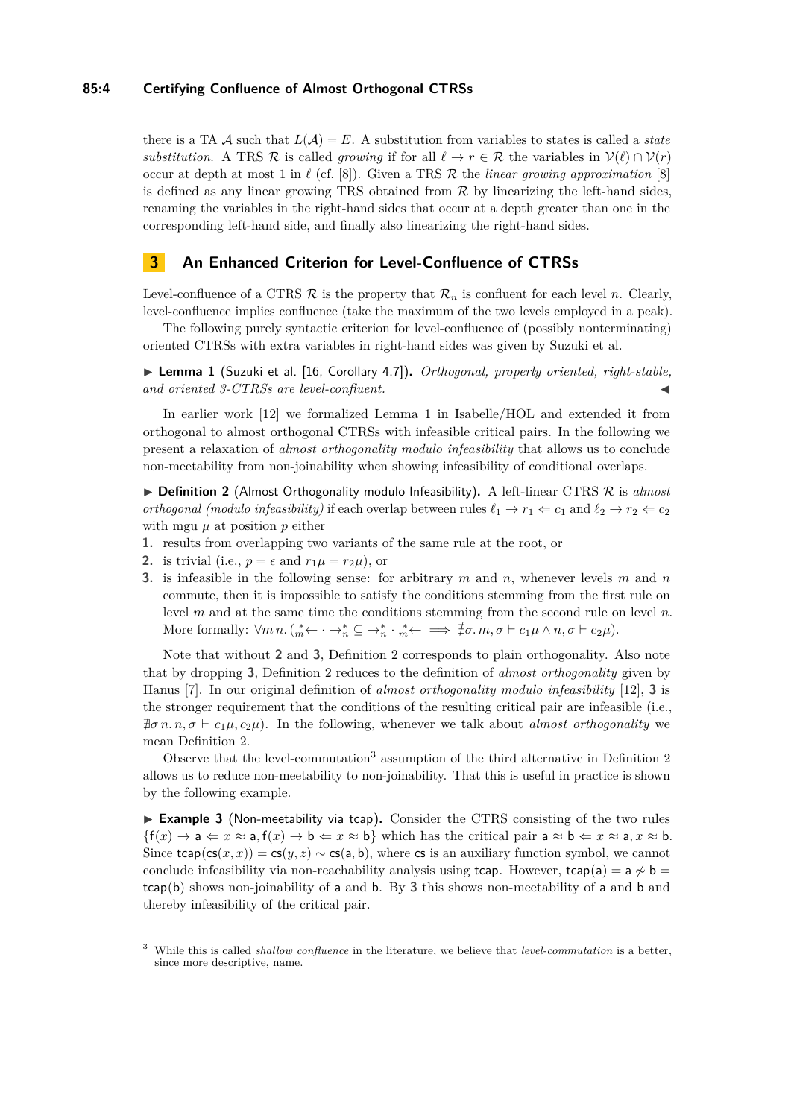## **85:4 Certifying Confluence of Almost Orthogonal CTRSs**

there is a TA  $\mathcal A$  such that  $L(\mathcal A) = E$ . A substitution from variables to states is called a *state substitution*. A TRS R is called *growing* if for all  $\ell \to r \in \mathcal{R}$  the variables in  $\mathcal{V}(\ell) \cap \mathcal{V}(r)$ occur at depth at most 1 in  $\ell$  (cf. [\[8\]](#page-14-3)). Given a TRS  $\mathcal R$  the *linear growing approximation* [8] is defined as any linear growing TRS obtained from  $R$  by linearizing the left-hand sides, renaming the variables in the right-hand sides that occur at a depth greater than one in the corresponding left-hand side, and finally also linearizing the right-hand sides.

# <span id="page-3-0"></span>**3 An Enhanced Criterion for Level-Confluence of CTRSs**

Level-confluence of a CTRS  $\mathcal R$  is the property that  $\mathcal R_n$  is confluent for each level *n*. Clearly, level-confluence implies confluence (take the maximum of the two levels employed in a peak).

The following purely syntactic criterion for level-confluence of (possibly nonterminating) oriented CTRSs with extra variables in right-hand sides was given by Suzuki et al.

<span id="page-3-1"></span>▶ Lemma 1 (Suzuki et al. [\[16,](#page-15-4) Corollary 4.7]). *Orthogonal, properly oriented, right-stable,* and oriented 3-CTRSs are level-confluent.

In earlier work [\[12\]](#page-14-2) we formalized Lemma [1](#page-3-1) in Isabelle/HOL and extended it from orthogonal to almost orthogonal CTRSs with infeasible critical pairs. In the following we present a relaxation of *almost orthogonality modulo infeasibility* that allows us to conclude non-meetability from non-joinability when showing infeasibility of conditional overlaps.

<span id="page-3-4"></span> $\triangleright$  **Definition 2** (Almost Orthogonality modulo Infeasibility). A left-linear CTRS  $\mathcal{R}$  is *almost orthogonal (modulo infeasibility)* if each overlap between rules  $\ell_1 \to r_1 \Leftarrow c_1$  and  $\ell_2 \to r_2 \Leftarrow c_2$ with mgu  $\mu$  at position  $p$  either

- **1.** results from overlapping two variants of the same rule at the root, or
- <span id="page-3-2"></span>**2.** is trivial (i.e.,  $p = \epsilon$  and  $r_1\mu = r_2\mu$ ), or
- <span id="page-3-3"></span>**3.** is infeasible in the following sense: for arbitrary *m* and *n*, whenever levels *m* and *n* commute, then it is impossible to satisfy the conditions stemming from the first rule on level *m* and at the same time the conditions stemming from the second rule on level *n*. More formally:  $\forall m \, n. \left( \frac{*}{m} \leftarrow \cdots \rightarrow_n^* \subseteq \rightarrow_n^* \cdot \frac{*}{m} \leftarrow \implies \nexists \sigma. m, \sigma \vdash c_1 \mu \wedge n, \sigma \vdash c_2 \mu \right)$ .

Note that without **[2](#page-3-2)** and **[3](#page-3-3)**, Definition [2](#page-3-4) corresponds to plain orthogonality. Also note that by dropping **[3](#page-3-3)**, Definition [2](#page-3-4) reduces to the definition of *almost orthogonality* given by Hanus [\[7\]](#page-14-8). In our original definition of *almost orthogonality modulo infeasibility* [\[12\]](#page-14-2), **[3](#page-3-3)** is the stronger requirement that the conditions of the resulting critical pair are infeasible (i.e.,  $\sharp \sigma n.n, \sigma \vdash c_1\mu, c_2\mu$ . In the following, whenever we talk about *almost orthogonality* we mean Definition [2.](#page-3-4)

Observe that the level-commutation<sup>[3](#page-3-5)</sup> assumption of the third alternative in Definition  $2$ allows us to reduce non-meetability to non-joinability. That this is useful in practice is shown by the following example.

► Example 3 (Non-meetability via tcap). Consider the CTRS consisting of the two rules  $\{f(x) \rightarrow a \leftarrow x \approx a, f(x) \rightarrow b \leftarrow x \approx b\}$  which has the critical pair  $a \approx b \leftarrow x \approx a, x \approx b$ . Since  $\text{trap}(\text{cs}(x, x)) = \text{cs}(y, z) \sim \text{cs}(a, b)$ , where cs is an auxiliary function symbol, we cannot conclude infeasibility via non-reachability analysis using tcap. However, tcap(a) =  $a \nsim b$  = tcap(b) shows non-joinability of a and b. By **[3](#page-3-3)** this shows non-meetability of a and b and thereby infeasibility of the critical pair.

<span id="page-3-5"></span><sup>3</sup> While this is called *shallow confluence* in the literature, we believe that *level-commutation* is a better, since more descriptive, name.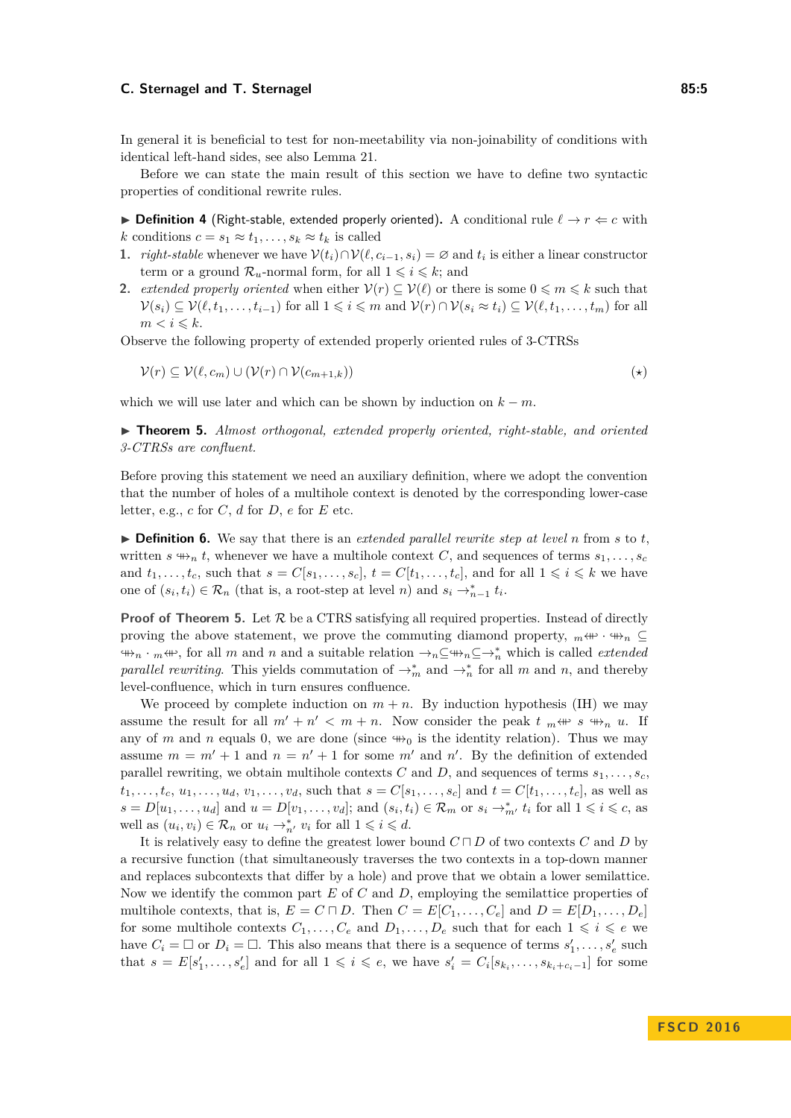In general it is beneficial to test for non-meetability via non-joinability of conditions with identical left-hand sides, see also Lemma [21.](#page-11-0)

Before we can state the main result of this section we have to define two syntactic properties of conditional rewrite rules.

<span id="page-4-1"></span>**► Definition 4** (Right-stable, extended properly oriented). A conditional rule  $\ell \rightarrow r \Leftarrow c$  with *k* conditions  $c = s_1 \approx t_1, \ldots, s_k \approx t_k$  is called

- **1.** *right-stable* whenever we have  $\mathcal{V}(t_i) \cap \mathcal{V}(\ell, c_{i-1}, s_i) = \emptyset$  and  $t_i$  is either a linear constructor term or a ground  $\mathcal{R}_u$ -normal form, for all  $1 \leq i \leq k$ ; and
- <span id="page-4-2"></span>**2.** *extended properly oriented* when either  $V(r) \subseteq V(\ell)$  or there is some  $0 \leq m \leq k$  such that  $\mathcal{V}(s_i) \subseteq \mathcal{V}(\ell, t_1, \ldots, t_{i-1})$  for all  $1 \leq i \leq m$  and  $\mathcal{V}(r) \cap \mathcal{V}(s_i \approx t_i) \subseteq \mathcal{V}(\ell, t_1, \ldots, t_m)$  for all  $m < i \leq k$ .

Observe the following property of extended properly oriented rules of 3-CTRSs

<span id="page-4-4"></span><span id="page-4-3"></span>
$$
\mathcal{V}(r) \subseteq \mathcal{V}(\ell, c_m) \cup (\mathcal{V}(r) \cap \mathcal{V}(c_{m+1,k}))
$$

which we will use later and which can be shown by induction on  $k - m$ .

<span id="page-4-0"></span>I **Theorem 5.** *Almost orthogonal, extended properly oriented, right-stable, and oriented 3-CTRSs are confluent.*

Before proving this statement we need an auxiliary definition, where we adopt the convention that the number of holes of a multihole context is denoted by the corresponding lower-case letter, e.g.,  $c$  for  $C$ ,  $d$  for  $D$ ,  $e$  for  $E$  etc.

 $\triangleright$  **Definition 6.** We say that there is an *extended parallel rewrite step at level n* from *s* to *t*, written *s*  $\mathcal{L}_n$  *t*, whenever we have a multihole context *C*, and sequences of terms  $s_1, \ldots, s_c$ and  $t_1, \ldots, t_c$ , such that  $s = C[s_1, \ldots, s_c], t = C[t_1, \ldots, t_c],$  and for all  $1 \leq i \leq k$  we have one of  $(s_i, t_i) \in \mathcal{R}_n$  (that is, a root-step at level *n*) and  $s_i \to_{n-1}^* t_i$ .

**Proof of Theorem [5.](#page-4-0)** Let  $\mathcal{R}$  be a CTRS satisfying all required properties. Instead of directly proving the above statement, we prove the commuting diamond property,  $_m \leftrightarrow \cdots \leftrightarrow_n \subseteq$  $\forall$ <sup>+</sup> $\forall$ *n*</sub>  $\cdot$  *m* $\langle$ <sup>+ $\forall$ *r*</sup>, for all *m* and *n* and a suitable relation  $\rightarrow$ <sub>*n*</sub>⊆ $\forall$ <sup>+</sup><sub>*n*</sub><sub></sub> $\subseteq$  $\rightarrow$ <sup>\*</sup><sub>*n*</sub></sub> which is called *extended parallel rewriting*. This yields commutation of  $\rightarrow_m^*$  and  $\rightarrow_n^*$  for all *m* and *n*, and thereby level-confluence, which in turn ensures confluence.

We proceed by complete induction on  $m + n$ . By induction hypothesis (IH) we may assume the result for all  $m' + n' < m + n$ . Now consider the peak  $t_m \leftrightarrow s \leftrightarrow_n u$ . If any of *m* and *n* equals 0, we are done (since  $\leftrightarrow$ <sub>0</sub> is the identity relation). Thus we may assume  $m = m' + 1$  and  $n = n' + 1$  for some m' and n'. By the definition of extended parallel rewriting, we obtain multihole contexts  $C$  and  $D$ , and sequences of terms  $s_1, \ldots, s_c$  $t_1, \ldots, t_c, u_1, \ldots, u_d, v_1, \ldots, v_d$ , such that  $s = C[s_1, \ldots, s_c]$  and  $t = C[t_1, \ldots, t_c]$ , as well as  $s = D[u_1, \ldots, u_d]$  and  $u = D[v_1, \ldots, v_d]$ ; and  $(s_i, t_i) \in \mathcal{R}_m$  or  $s_i \to_{m'}^* t_i$  for all  $1 \leq i \leq c$ , as well as  $(u_i, v_i) \in \mathcal{R}_n$  or  $u_i \to_{n'}^* v_i$  for all  $1 \leq i \leq d$ .

It is relatively easy to define the greatest lower bound  $C \sqcap D$  of two contexts  $C$  and  $D$  by a recursive function (that simultaneously traverses the two contexts in a top-down manner and replaces subcontexts that differ by a hole) and prove that we obtain a lower semilattice. Now we identify the common part *E* of *C* and *D*, employing the semilattice properties of multihole contexts, that is,  $E = C \sqcap D$ . Then  $C = E[C_1, \ldots, C_e]$  and  $D = E[D_1, \ldots, D_e]$ for some multihole contexts  $C_1, \ldots, C_e$  and  $D_1, \ldots, D_e$  such that for each  $1 \leq i \leq e$  we have  $C_i = \Box$  or  $D_i = \Box$ . This also means that there is a sequence of terms  $s'_1, \ldots, s'_e$  such that  $s = E[s'_1, \ldots, s'_e]$  and for all  $1 \leq i \leq e$ , we have  $s'_i = C_i[s_{k_i}, \ldots, s_{k_i+c_i-1}]$  for some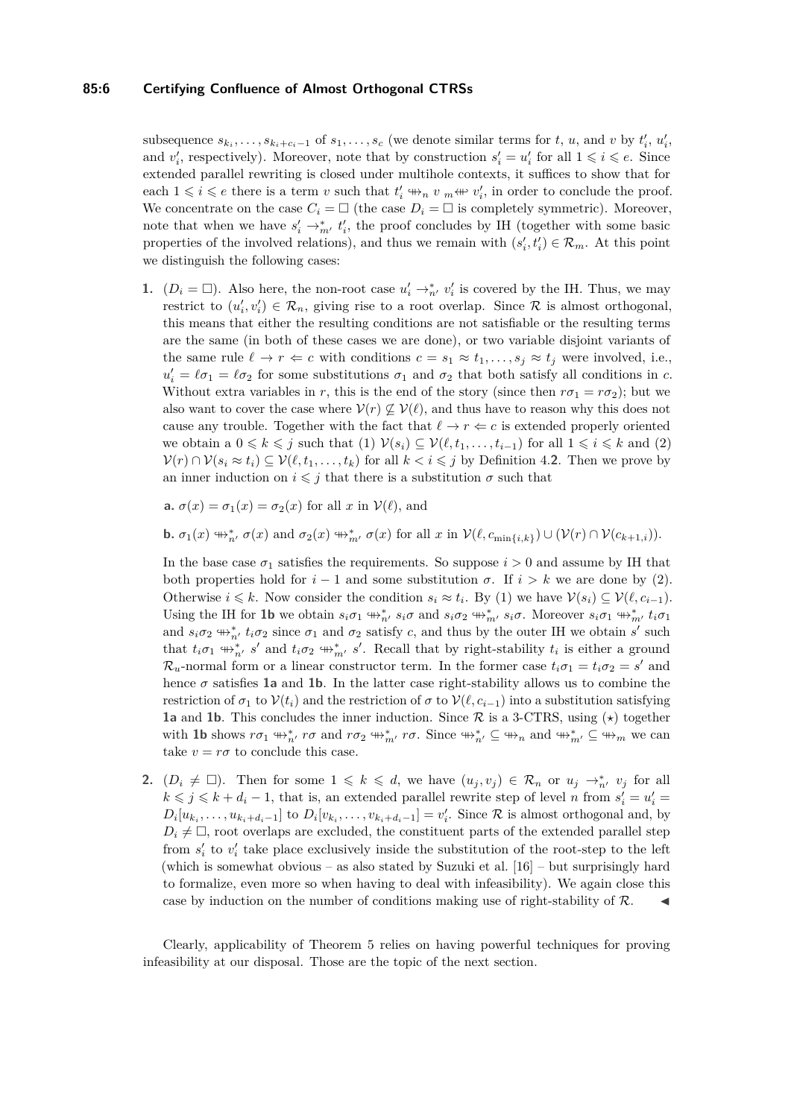## **85:6 Certifying Confluence of Almost Orthogonal CTRSs**

subsequence  $s_{k_i}, \ldots, s_{k_i+c_i-1}$  of  $s_1, \ldots, s_c$  (we denote similar terms for t, u, and v by  $t'_i, u'_i$ , and  $v'_i$ , respectively). Moreover, note that by construction  $s'_i = u'_i$  for all  $1 \leq i \leq e$ . Since extended parallel rewriting is closed under multihole contexts, it suffices to show that for each  $1 \leq i \leq e$  there is a term *v* such that  $t'_{i} \nleftrightarrow_{n} v_{m} \nleftrightarrow v'_{i}$ , in order to conclude the proof. We concentrate on the case  $C_i = \Box$  (the case  $D_i = \Box$  is completely symmetric). Moreover, note that when we have  $s_i' \rightarrow_{m'}^* t_i'$ , the proof concludes by IH (together with some basic properties of the involved relations), and thus we remain with  $(s'_i, t'_i) \in \mathcal{R}_m$ . At this point we distinguish the following cases:

**1.**  $(D_i = \Box)$ . Also here, the non-root case  $u'_i \rightarrow_{n'}^* v'_i$  is covered by the IH. Thus, we may restrict to  $(u'_i, v'_i) \in \mathcal{R}_n$ , giving rise to a root overlap. Since  $\mathcal R$  is almost orthogonal, this means that either the resulting conditions are not satisfiable or the resulting terms are the same (in both of these cases we are done), or two variable disjoint variants of the same rule  $\ell \to r \Leftarrow c$  with conditions  $c = s_1 \approx t_1, \ldots, s_i \approx t_i$  were involved, i.e.,  $u'_i = \ell \sigma_1 = \ell \sigma_2$  for some substitutions  $\sigma_1$  and  $\sigma_2$  that both satisfy all conditions in *c*. Without extra variables in *r*, this is the end of the story (since then  $r\sigma_1 = r\sigma_2$ ); but we also want to cover the case where  $V(r) \nsubseteq V(\ell)$ , and thus have to reason why this does not cause any trouble. Together with the fact that  $\ell \to r \Leftarrow c$  is extended properly oriented we obtain a  $0 \leq k \leq j$  such that (1)  $\mathcal{V}(s_i) \subseteq \mathcal{V}(\ell, t_1, \ldots, t_{i-1})$  for all  $1 \leq i \leq k$  and (2)  $V(r) \cap V(s_i \approx t_i) \subseteq V(\ell, t_1, \ldots, t_k)$  for all  $k < i \leq j$  by Definition [4.](#page-4-1)[2](#page-4-2). Then we prove by an inner induction on  $i \leq j$  that there is a substitution  $\sigma$  such that

<span id="page-5-2"></span><span id="page-5-0"></span>**a.**  $\sigma(x) = \sigma_1(x) = \sigma_2(x)$  for all *x* in  $\mathcal{V}(\ell)$ , and

<span id="page-5-1"></span>**b.**  $\sigma_1(x) \leftrightarrow_{n'}^* \sigma(x)$  and  $\sigma_2(x) \leftrightarrow_{m'}^* \sigma(x)$  for all x in  $\mathcal{V}(\ell, c_{\min\{i,k\}}) \cup (\mathcal{V}(r) \cap \mathcal{V}(c_{k+1,i}))$ .

In the base case  $\sigma_1$  satisfies the requirements. So suppose  $i > 0$  and assume by IH that both properties hold for  $i-1$  and some substitution  $\sigma$ . If  $i > k$  we are done by [\(2\)](#page-5-0). Otherwise  $i \leq k$ . Now consider the condition  $s_i \approx t_i$ . By [\(1\)](#page-4-3) we have  $\mathcal{V}(s_i) \subseteq \mathcal{V}(\ell, c_{i-1})$ . Using the IH for [1b](#page-5-1) we obtain  $s_i \sigma_1 \oplus_{n'}^* s_i \sigma$  and  $s_i \sigma_2 \oplus_{m'}^* s_i \sigma$ . Moreover  $s_i \sigma_1 \oplus_{m'}^* t_i \sigma_1$ and  $s_i \sigma_2 \leftrightarrow_{n'}^* t_i \sigma_2$  since  $\sigma_1$  and  $\sigma_2$  satisfy *c*, and thus by the outer IH we obtain *s'* such that  $t_i \sigma_1 \leftrightarrow_{n'}^* s'$  and  $t_i \sigma_2 \leftrightarrow_{n'}^* s'$ . Recall that by right-stability  $t_i$  is either a ground  $\mathcal{R}_u$ -normal form or a linear constructor term. In the former case  $t_i \sigma_1 = t_i \sigma_2 = s'$  and hence  $\sigma$  satisfies **[1a](#page-5-2)** and **[1b](#page-5-1)**. In the latter case right-stability allows us to combine the restriction of  $\sigma_1$  to  $\mathcal{V}(t_i)$  and the restriction of  $\sigma$  to  $\mathcal{V}(\ell, c_{i-1})$  into a substitution satisfying **[1a](#page-5-2)** and **[1b](#page-5-1)**. This concludes the inner induction. Since  $\mathcal{R}$  is a 3-CTRS, using ( $\star$ ) together with **[1b](#page-5-1)** shows  $r\sigma_1 \oplus_{n'}^* r\sigma$  and  $r\sigma_2 \oplus_{m'}^* r\sigma$ . Since  $\oplus_{n'}^* \subseteq \oplus_{n'}^*$  and  $\oplus_{m'}^* \subseteq \oplus_{m'}^*$  we can take  $v = r\sigma$  to conclude this case.

**2.**  $(D_i \neq \Box)$ . Then for some  $1 \leq k \leq d$ , we have  $(u_j, v_j) \in \mathcal{R}_n$  or  $u_j \to_{n'}^* v_j$  for all  $k \leq j \leq k + d_i - 1$ , that is, an extended parallel rewrite step of level *n* from  $s_i' = u_i' =$  $D_i[u_{k_i},\ldots,u_{k_i+d_i-1}]$  to  $D_i[v_{k_i},\ldots,v_{k_i+d_i-1}]=v'_i$ . Since  $\mathcal R$  is almost orthogonal and, by  $D_i \neq \Box$ , root overlaps are excluded, the constituent parts of the extended parallel step from  $s_i'$  to  $v_i'$  take place exclusively inside the substitution of the root-step to the left (which is somewhat obvious – as also stated by Suzuki et al.  $[16]$  – but surprisingly hard to formalize, even more so when having to deal with infeasibility). We again close this case by induction on the number of conditions making use of right-stability of  $R$ .

Clearly, applicability of Theorem [5](#page-4-0) relies on having powerful techniques for proving infeasibility at our disposal. Those are the topic of the next section.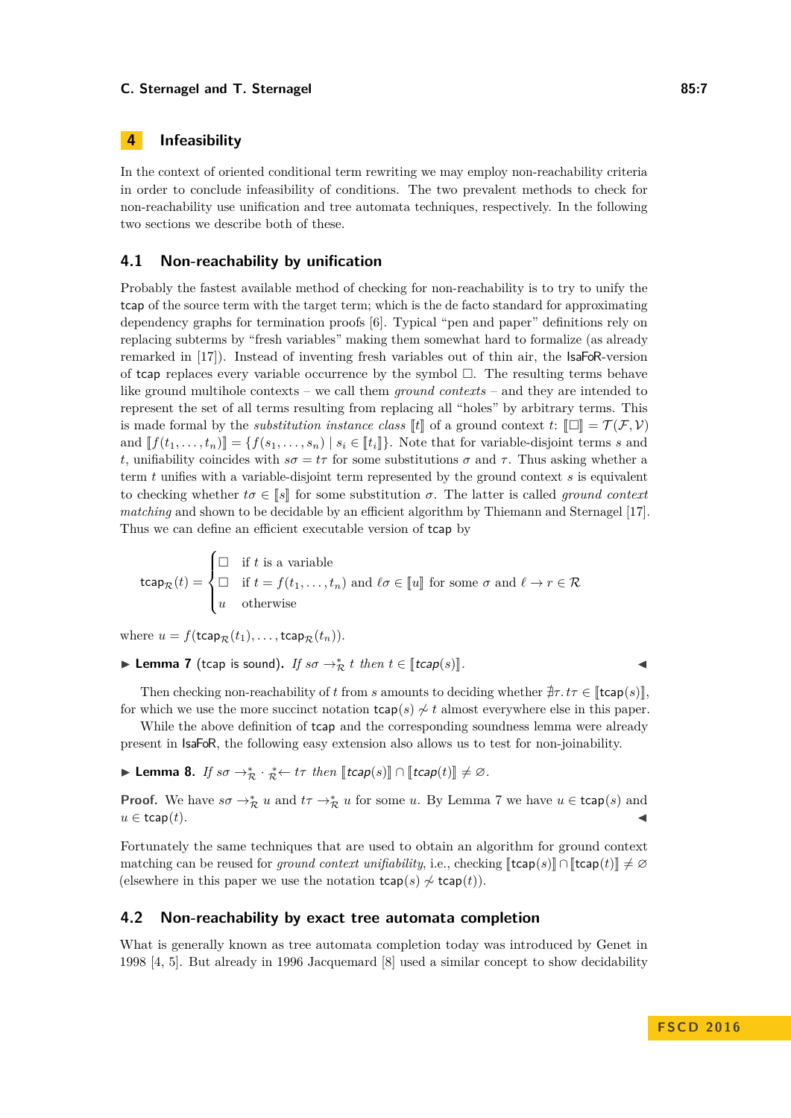# **4 Infeasibility**

In the context of oriented conditional term rewriting we may employ non-reachability criteria in order to conclude infeasibility of conditions. The two prevalent methods to check for non-reachability use unification and tree automata techniques, respectively. In the following two sections we describe both of these.

# <span id="page-6-0"></span>**4.1 Non-reachability by unification**

Probably the fastest available method of checking for non-reachability is to try to unify the tcap of the source term with the target term; which is the de facto standard for approximating dependency graphs for termination proofs [\[6\]](#page-14-7). Typical "pen and paper" definitions rely on replacing subterms by "fresh variables" making them somewhat hard to formalize (as already remarked in [\[17\]](#page-15-0)). Instead of inventing fresh variables out of thin air, the IsaFoR-version of tcap replaces every variable occurrence by the symbol  $\Box$ . The resulting terms behave like ground multihole contexts – we call them *ground contexts* – and they are intended to represent the set of all terms resulting from replacing all "holes" by arbitrary terms. This is made formal by the *substitution instance class*  $\llbracket t \rrbracket$  of a ground context  $t: \llbracket \Box \rrbracket = \mathcal{T}(\mathcal{F}, \mathcal{V})$ and  $[f(t_1, \ldots, t_n)] = \{f(s_1, \ldots, s_n) \mid s_i \in [t_i]\}.$  Note that for variable-disjoint terms *s* and *t*, unifiability coincides with  $s\sigma = t\tau$  for some substitutions  $\sigma$  and  $\tau$ . Thus asking whether a term *t* unifies with a variable-disjoint term represented by the ground context *s* is equivalent to checking whether  $t\sigma \in \llbracket s \rrbracket$  for some substitution  $\sigma$ . The latter is called *ground context matching* and shown to be decidable by an efficient algorithm by Thiemann and Sternagel [\[17\]](#page-15-0). Thus we can define an efficient executable version of tcap by

tcap $_{\mathcal{R}}(t) =$  $\sqrt{ }$  $\int$  $\overline{\mathcal{L}}$  $\Box$  if *t* is a variable  $\Box$  if *t* = *f*(*t*<sub>1</sub>*, . . . , <i>t*<sub>n</sub>) and *l*σ ∈ [*u*] for some *σ* and *l* → *r* ∈ R *u* otherwise

where  $u = f(\text{tcap}_{\mathcal{R}}(t_1), \ldots, \text{tcap}_{\mathcal{R}}(t_n)).$ 

<span id="page-6-2"></span>► Lemma 7 (tcap is sound). *If*  $s\sigma \rightarrow_{\mathcal{R}}^* t$  *then*  $t \in [\text{tcap}(s)]$ .

Then checking non-reachability of *t* from *s* amounts to deciding whether  $\exists \tau, t\tau \in \mathbb{I}$ tcap(*s*) for which we use the more succinct notation  $\text{tcap}(s) \nsim t$  almost everywhere else in this paper.

While the above definition of tcap and the corresponding soundness lemma were already present in IsaFoR, the following easy extension also allows us to test for non-joinability.

<span id="page-6-3"></span>► Lemma 8. *If*  $s\sigma \rightarrow_{\mathcal{R}}^* \cdot \mathop{\mathcal{R}}^{\ast} \leftarrow t\tau$  *then* [[tcap(s)]  $\cap$  [[tcap(t)]  $\neq \varnothing$ .

**Proof.** We have  $s\sigma \to_{\mathcal{R}}^* u$  and  $t\tau \to_{\mathcal{R}}^* u$  for some *u*. By Lemma [7](#page-6-2) we have  $u \in \text{tcap}(s)$  and  $u \in \mathsf{tcap}(t).$ 

Fortunately the same techniques that are used to obtain an algorithm for ground context matching can be reused for *ground context unifiability*, i.e., checking  $[\text{tcap}(s)] \cap [\text{tcap}(t)] \neq \emptyset$ (elsewhere in this paper we use the notation  $\text{tcap}(s) \nsim \text{tcap}(t)$ ).

# <span id="page-6-1"></span>**4.2 Non-reachability by exact tree automata completion**

What is generally known as tree automata completion today was introduced by Genet in 1998 [\[4,](#page-14-9) [5\]](#page-14-10). But already in 1996 Jacquemard [\[8\]](#page-14-3) used a similar concept to show decidability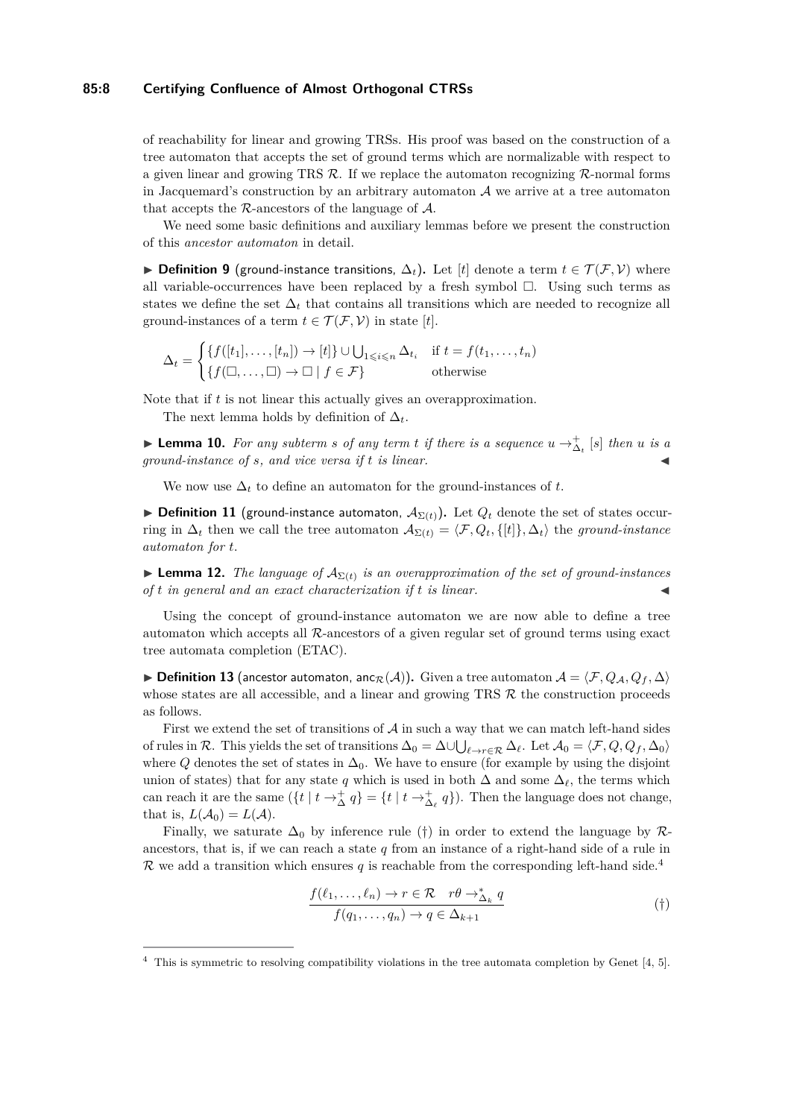## **85:8 Certifying Confluence of Almost Orthogonal CTRSs**

of reachability for linear and growing TRSs. His proof was based on the construction of a tree automaton that accepts the set of ground terms which are normalizable with respect to a given linear and growing TRS  $\mathcal{R}$ . If we replace the automaton recognizing  $\mathcal{R}$ -normal forms in Jacquemard's construction by an arbitrary automaton  $A$  we arrive at a tree automaton that accepts the R-ancestors of the language of  $A$ .

We need some basic definitions and auxiliary lemmas before we present the construction of this *ancestor automaton* in detail.

**► Definition 9** (ground-instance transitions,  $\Delta_t$ ). Let [*t*] denote a term  $t \in \mathcal{T}(\mathcal{F}, \mathcal{V})$  where all variable-occurrences have been replaced by a fresh symbol  $\Box$ . Using such terms as states we define the set  $\Delta_t$  that contains all transitions which are needed to recognize all ground-instances of a term  $t \in \mathcal{T}(\mathcal{F}, \mathcal{V})$  in state [*t*].

$$
\Delta_t = \begin{cases} \{f([t_1], \dots, [t_n]) \to [t] \} \cup \bigcup_{1 \leq i \leq n} \Delta_{t_i} & \text{if } t = f(t_1, \dots, t_n) \\ \{f(\Box, \dots, \Box) \to \Box \mid f \in \mathcal{F}\} & \text{otherwise} \end{cases}
$$

Note that if *t* is not linear this actually gives an overapproximation.

The next lemma holds by definition of  $\Delta_t$ .

<span id="page-7-2"></span>▶ **Lemma 10.** For any subterm s of any term t if there is a sequence  $u \rightarrow^+_{\Delta_t} [s]$  then u is a *ground-instance of s, and vice versa if t is linear.* J

We now use  $\Delta_t$  to define an automaton for the ground-instances of t.

▶ **Definition 11** (ground-instance automaton,  $\mathcal{A}_{\Sigma(t)}$ ). Let  $Q_t$  denote the set of states occurring in  $\Delta_t$  then we call the tree automaton  $\mathcal{A}_{\Sigma(t)} = \langle \mathcal{F}, Q_t, \{[t]\}, \Delta_t \rangle$  the *ground-instance automaton for t*.

**Lemma 12.** *The language of*  $A_{\Sigma(t)}$  *is an overapproximation of the set of ground-instances of t in general and an exact characterization if t is linear.* J

Using the concept of ground-instance automaton we are now able to define a tree automaton which accepts all  $\mathcal{R}$ -ancestors of a given regular set of ground terms using exact tree automata completion (ETAC).

**▶ Definition 13** (ancestor automaton, anc $_R(A)$ ). Given a tree automaton  $A = \langle F, Q_A, Q_f, \Delta \rangle$ whose states are all accessible, and a linear and growing TRS  $R$  the construction proceeds as follows.

First we extend the set of transitions of  $A$  in such a way that we can match left-hand sides of rules in R. This yields the set of transitions  $\Delta_0 = \Delta \cup \bigcup_{\ell \to r \in \mathcal{R}} \Delta_{\ell}$ . Let  $\mathcal{A}_0 = \langle \mathcal{F}, Q, Q_f, \Delta_0 \rangle$ where  $Q$  denotes the set of states in  $\Delta_0$ . We have to ensure (for example by using the disjoint union of states) that for any state *q* which is used in both  $\Delta$  and some  $\Delta_{\ell}$ , the terms which can reach it are the same  $(\{t \mid t \to_{\Delta}^+ q\}) = \{t \mid t \to_{\Delta_{\ell}}^+ q\})$ . Then the language does not change, that is,  $L(A_0) = L(A)$ .

Finally, we saturate  $\Delta_0$  by inference rule ([†](#page-7-0)) in order to extend the language by  $\mathcal{R}_2$ ancestors, that is, if we can reach a state *q* from an instance of a right-hand side of a rule in R we add a transition which ensures  $q$  is reachable from the corresponding left-hand side.<sup>[4](#page-7-1)</sup>

<span id="page-7-0"></span>
$$
\frac{f(\ell_1,\ldots,\ell_n)\to r\in\mathcal{R}\quad r\theta\to_{\Delta_k}^* q}{f(q_1,\ldots,q_n)\to q\in\Delta_{k+1}}\tag{\dagger}
$$

<span id="page-7-1"></span> $4$  This is symmetric to resolving compatibility violations in the tree automata completion by Genet [\[4,](#page-14-9) [5\]](#page-14-10).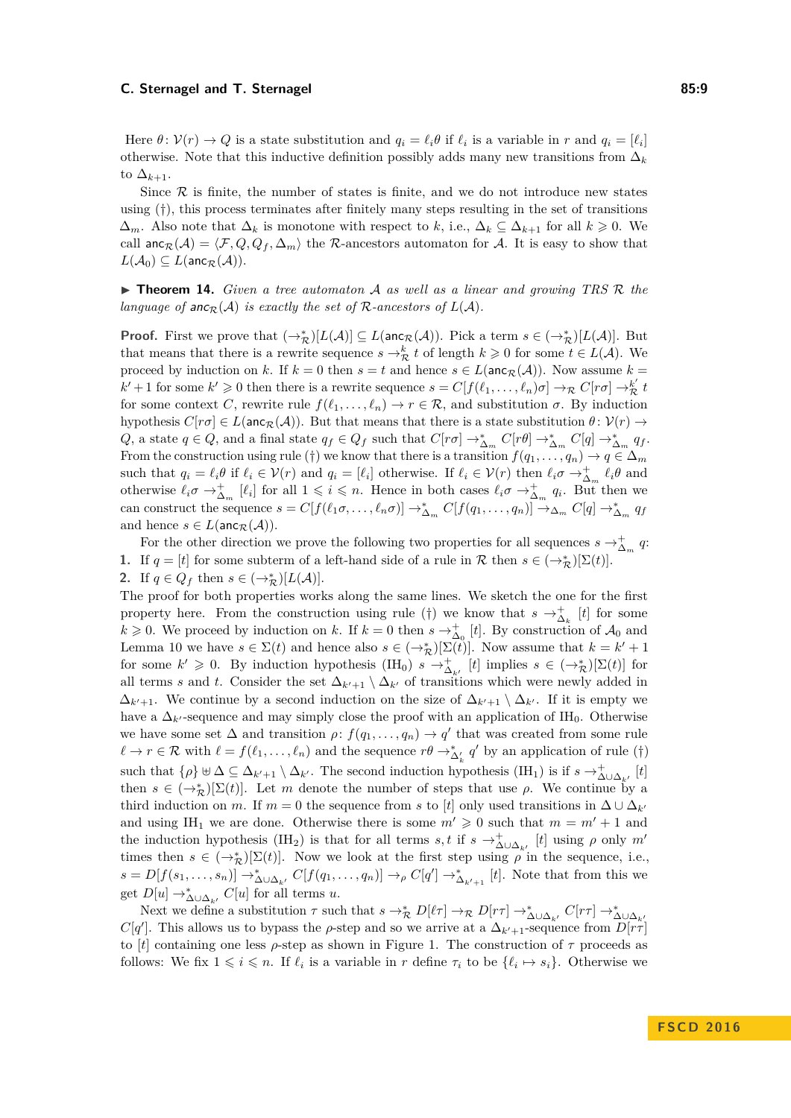Here  $\theta$ :  $V(r) \rightarrow Q$  is a state substitution and  $q_i = \ell_i \theta$  if  $\ell_i$  is a variable in *r* and  $q_i = [\ell_i]$ otherwise. Note that this inductive definition possibly adds many new transitions from ∆*<sup>k</sup>* to  $\Delta_{k+1}$ .

Since  $\mathcal R$  is finite, the number of states is finite, and we do not introduce new states using  $(\dagger)$ , this process terminates after finitely many steps resulting in the set of transitions  $\Delta_m$ . Also note that  $\Delta_k$  is monotone with respect to *k*, i.e.,  $\Delta_k \subseteq \Delta_{k+1}$  for all  $k \geq 0$ . We call anc $\chi(A) = \langle F, Q, Q_f, \Delta_m \rangle$  the R-ancestors automaton for A. It is easy to show that  $L(\mathcal{A}_0) \subseteq L(\mathsf{anc}_{\mathcal{R}}(\mathcal{A})).$ 

<span id="page-8-0"></span>▶ **Theorem 14.** *Given a tree automaton A as well as a linear and growing TRS* R *the language of* anc $_R(A)$  *is exactly the set of*  $R$ *-ancestors of*  $L(A)$ *.* 

**Proof.** First we prove that  $(\rightarrow_{\mathcal{R}}^*)[L(\mathcal{A})] \subseteq L(\text{anc}_{\mathcal{R}}(\mathcal{A}))$ . Pick a term  $s \in (\rightarrow_{\mathcal{R}}^*)[L(\mathcal{A})]$ . But that means that there is a rewrite sequence  $s \to_{\mathcal{R}}^k t$  of length  $k \geqslant 0$  for some  $t \in L(\mathcal{A})$ . We proceed by induction on *k*. If  $k = 0$  then  $s = t$  and hence  $s \in L(\text{anc}_{\mathcal{R}}(\mathcal{A}))$ . Now assume  $k =$  $k' + 1$  for some  $k' \geq 0$  then there is a rewrite sequence  $s = C[f(\ell_1, \ldots, \ell_n)\sigma] \to_{\mathcal{R}} C[r\sigma] \to_{\mathcal{R}}^{k'} t$ for some context *C*, rewrite rule  $f(\ell_1, \ldots, \ell_n) \to r \in \mathcal{R}$ , and substitution  $\sigma$ . By induction hypothesis  $C[r\sigma] \in L(\text{anc}_{\mathcal{R}}(\mathcal{A}))$ . But that means that there is a state substitution  $\theta: \mathcal{V}(r) \to$ *Q*, a state  $q \in Q$ , and a final state  $q_f \in Q_f$  such that  $C[r\sigma] \to_{\Delta_m}^* C[r\theta] \to_{\Delta_m}^* C[q] \to_{\Delta_m}^* q_f$ . From the construction using rule ([†](#page-7-0)) we know that there is a transition  $f(q_1, \ldots, q_n) \to q \in \Delta_m$ such that  $q_i = \ell_i \theta$  if  $\ell_i \in \mathcal{V}(r)$  and  $q_i = [\ell_i]$  otherwise. If  $\ell_i \in \mathcal{V}(r)$  then  $\ell_i \sigma \to_{\Delta_m}^{\dagger} \ell_i \theta$  and otherwise  $\ell_i \sigma \to_{\Delta_m}^+ [\ell_i]$  for all  $1 \leqslant i \leqslant n$ . Hence in both cases  $\ell_i \sigma \to_{\Delta_m}^+ q_i$ . But then we can construct the sequence  $s = C[f(\ell_1\sigma,\ldots,\ell_n\sigma)] \to_{\Delta_m}^* C[f(q_1,\ldots,q_n)] \to_{\Delta_m} C[q] \to_{\Delta_m}^* q_f$ and hence  $s \in L(\text{anc}_{\mathcal{R}}(\mathcal{A}))$ .

For the other direction we prove the following two properties for all sequences  $s \to_{\Delta_m}^+ q$ . **1.** If  $q = [t]$  for some subterm of a left-hand side of a rule in  $\mathcal{R}$  then  $s \in (\rightarrow_{\mathcal{R}}^*)[\Sigma(t)]$ .

2. If  $q \in Q_f$  then  $s \in (\rightarrow_{\mathcal{R}}^*)[L(\mathcal{A})]$ .

The proof for both properties works along the same lines. We sketch the one for the first property here. From the construction using rule ([†](#page-7-0)) we know that  $s \to \frac{1}{\Delta_k}$  [*t*] for some  $k \geq 0$ . We proceed by induction on *k*. If  $k = 0$  then  $s \to \frac{1}{\Delta_0} [t]$ . By construction of  $\mathcal{A}_0$  and Lemma [10](#page-7-2) we have  $s \in \Sigma(t)$  and hence also  $s \in (\rightarrow_{\mathcal{R}}^*)[\Sigma(t)]$ . Now assume that  $k = k' + 1$ for some  $k' \geq 0$ . By induction hypothesis  $(IH_0)$   $s \to \stackrel{+}{\Delta_{k'}} [t]$  implies  $s \in (\to \stackrel{*}{\mathcal{R}})[\Sigma(t)]$  for all terms *s* and *t*. Consider the set  $\Delta_{k'+1} \setminus \Delta_{k'}$  of transitions which were newly added in  $\Delta_{k'+1}$ . We continue by a second induction on the size of  $\Delta_{k'+1} \setminus \Delta_{k'}$ . If it is empty we have a  $\Delta_{k'}$ -sequence and may simply close the proof with an application of IH<sub>0</sub>. Otherwise we have some set  $\Delta$  and transition  $\rho: f(q_1, \ldots, q_n) \to q'$  that was created from some rule  $\ell \to r \in \mathcal{R}$  with  $\ell = f(\ell_1, \ldots, \ell_n)$  and the sequence  $r\theta \to^*_{\Delta'_k} q'$  by an application of rule ([†](#page-7-0)) such that  $\{\rho\} \uplus \Delta \subseteq \Delta_{k'+1} \setminus \Delta_{k'}$ . The second induction hypothesis (IH<sub>1</sub>) is if  $s \to_{\Delta \cup \Delta_{k'}}^+ [t]$ then  $s \in (\rightarrow_{\mathcal{R}}^*)[\Sigma(t)]$ . Let *m* denote the number of steps that use  $\rho$ . We continue by a third induction on *m*. If  $m = 0$  the sequence from *s* to [*t*] only used transitions in  $\Delta \cup \Delta_{k'}$ and using IH<sub>1</sub> we are done. Otherwise there is some  $m' \geq 0$  such that  $m = m' + 1$  and the induction hypothesis (IH<sub>2</sub>) is that for all terms *s, t* if  $s \to_{\Delta \cup \Delta_{k'}}^{\infty} [t]$  using  $\rho$  only  $m'$ times then  $s \in (\rightarrow_{\mathcal{R}}^*)[\Sigma(t)]$ . Now we look at the first step using  $\rho$  in the sequence, i.e.,  $s = D[f(s_1, \ldots, s_n)] \rightarrow_{\Delta \cup \Delta_{k'}} C[f(q_1, \ldots, q_n)] \rightarrow_{\rho} C[q'] \rightarrow_{\Delta_{k'+1}}^* [t]$ . Note that from this we get  $D[u] \to_{\Delta \cup \Delta_{k'}}^* C[u]$  for all terms *u*.

Next we define a substitution  $\tau$  such that  $s \to_{\mathcal{R}}^* D[\ell \tau] \to_{\mathcal{R}} D[r\tau] \to_{\Delta \cup \Delta_{k'}}^* C[r\tau] \to_{\Delta \cup \Delta_{k'}}^* C[q']$ . This allows us to bypass the  $\rho$ -step and so we arrive at a  $\Delta_{k'+1}$ -sequence from  $D[r\tau]$ to  $[t]$  containing one less  $\rho$ -step as shown in Figure [1.](#page-9-0) The construction of  $\tau$  proceeds as follows: We fix  $1 \leq i \leq n$ . If  $\ell_i$  is a variable in *r* define  $\tau_i$  to be  $\{\ell_i \mapsto s_i\}$ . Otherwise we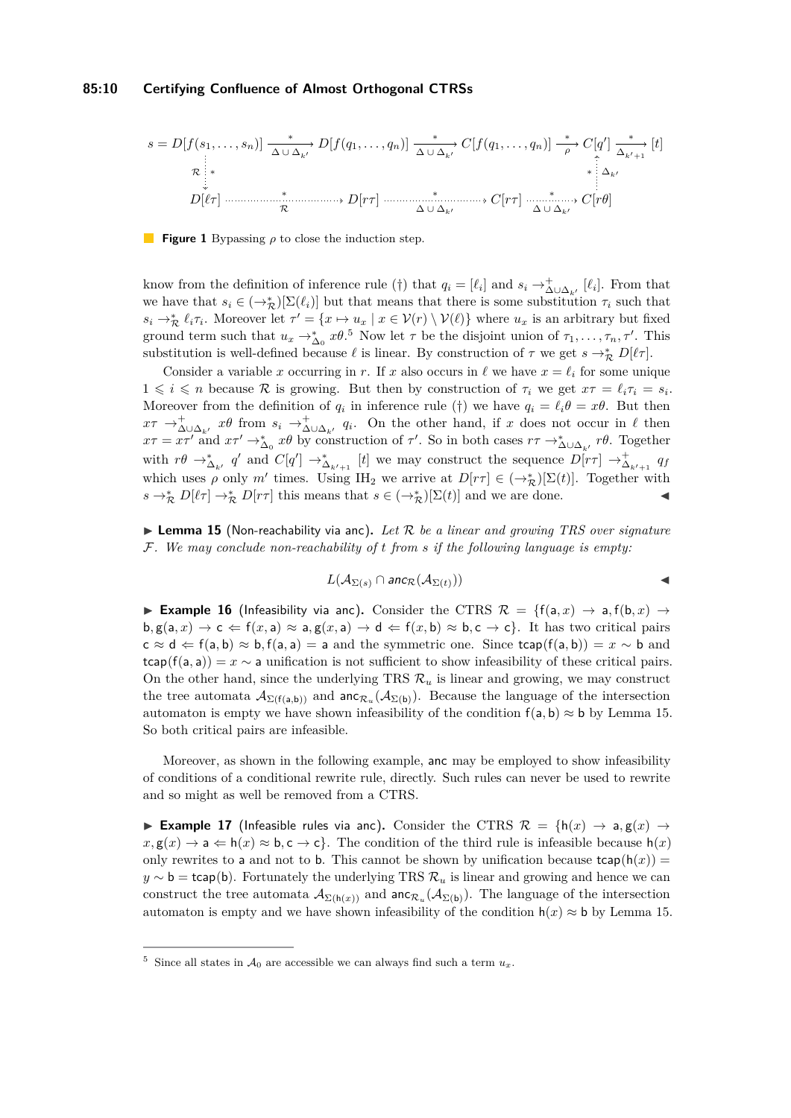<span id="page-9-0"></span>
$$
s = D[f(s_1, \ldots, s_n)] \xrightarrow[\Delta \cup \Delta_{k'}]{*} D[f(q_1, \ldots, q_n)] \xrightarrow[\Delta \cup \Delta_{k'}]{*} C[f(q_1, \ldots, q_n)] \xrightarrow[\rho]{*} C[q'] \xrightarrow[\Delta_{k'+1}]{*} [t]
$$
  
\n
$$
\mathcal{R} \downarrow \qquad \qquad * \qquad \qquad * \qquad \qquad * \qquad \qquad * \qquad \qquad * \qquad \qquad * \qquad \qquad * \qquad \qquad * \qquad \qquad * \qquad \qquad * \qquad \qquad * \qquad \qquad * \qquad \qquad * \qquad \qquad * \qquad \qquad * \qquad \qquad * \qquad \qquad * \qquad \qquad * \qquad \qquad * \qquad \qquad * \qquad \qquad * \qquad \qquad * \qquad \qquad * \qquad \qquad * \qquad \qquad * \qquad \qquad * \qquad \qquad * \qquad \qquad * \qquad \qquad * \qquad \qquad * \qquad \qquad * \qquad \qquad * \qquad \qquad * \qquad \qquad * \qquad \qquad * \qquad \qquad * \qquad \qquad * \qquad \qquad * \qquad \qquad * \qquad \qquad * \qquad \qquad * \qquad \qquad * \qquad \qquad * \qquad \qquad * \qquad \qquad * \qquad \qquad * \qquad \qquad * \qquad \qquad * \qquad \qquad * \qquad \qquad * \qquad \qquad * \qquad \qquad * \qquad \qquad * \qquad \qquad * \qquad \qquad * \qquad \qquad * \qquad \qquad * \qquad \qquad * \qquad \qquad * \qquad \qquad * \qquad \qquad * \qquad \qquad * \qquad \qquad * \qquad \qquad * \qquad \qquad * \qquad \qquad * \qquad \qquad * \qquad \qquad * \qquad \qquad * \qquad \qquad * \qquad \qquad * \qquad \qquad * \qquad \qquad * \qquad \qquad * \qquad \qquad * \qquad \qquad * \qquad \qquad * \qquad \qquad * \qquad \qquad * \qquad \qquad * \qquad \qquad * \qquad \qquad * \qquad \qquad * \qquad \qquad * \qquad \qquad * \qquad \qquad * \qquad \qquad * \qquad \qquad * \qquad \qquad * \qquad \qquad * \qquad \qquad * \qquad \q
$$

#### **Figure 1** Bypassing *ρ* to close the induction step.

know from the definition of inference rule ([†](#page-7-0)) that  $q_i = [\ell_i]$  and  $s_i \to_{\Delta \cup \Delta_{k'}}^{\dagger} [\ell_i]$ . From that we have that  $s_i \in (\rightarrow_{\mathcal{R}}^*)[\Sigma(\ell_i)]$  but that means that there is some substitution  $\tau_i$  such that  $s_i \to_{\mathcal{R}}^* \ell_i \tau_i$ . Moreover let  $\tau' = \{x \mapsto u_x \mid x \in \mathcal{V}(r) \setminus \mathcal{V}(\ell)\}$  where  $u_x$  is an arbitrary but fixed ground term such that  $u_x \to_{\Delta_0}^* x\theta$ .<sup>[5](#page-9-1)</sup> Now let  $\tau$  be the disjoint union of  $\tau_1, \ldots, \tau_n, \tau'$ . This substitution is well-defined because  $\ell$  is linear. By construction of  $\tau$  we get  $s \to_{\mathcal{R}}^* D[\ell \tau]$ .

Consider a variable *x* occurring in *r*. If *x* also occurs in  $\ell$  we have  $x = \ell_i$  for some unique  $1 \leq i \leq n$  because R is growing. But then by construction of  $\tau_i$  we get  $x\tau = \ell_i \tau_i = s_i$ . Moreover from the definition of  $q_i$  in inference rule ([†](#page-7-0)) we have  $q_i = \ell_i \theta = x\theta$ . But then  $x\tau \to \stackrel{+}{\Delta} \cup \stackrel{\sim}{\Delta} \iota$  *xθ* from  $s_i \to \stackrel{+}{\Delta} \cup \Delta_k$ , *q<sub>i</sub>*. On the other hand, if *x* does not occur in  $\ell$  then  $x\tau = x\tau'$  and  $x\tau' \to_{\Delta_0}^* x\theta$  by construction of  $\tau'$ . So in both cases  $r\tau \to_{\Delta_0}^* x\theta$ . Together with  $r\theta \to_{\Delta_{k'}}^* q'$  and  $C[q'] \to_{\Delta_{k'+1}}^* [t]$  we may construct the sequence  $D[r\tau] \to_{\Delta_{k'+1}}^* q_f$ which uses  $\rho$  only  $m'$  times. Using IH<sub>2</sub> we arrive at  $D[r\tau] \in (\to_{\mathcal{R}}^*)[\Sigma(t)]$ . Together with  $s \to_{\mathcal{R}}^* D[\ell \tau] \to_{\mathcal{R}}^* D[r\tau]$  this means that  $s \in (\to_{\mathcal{R}}^*)[\Sigma(t)]$  and we are done.

<span id="page-9-2"></span>▶ Lemma 15 (Non-reachability via anc). Let R be a linear and growing TRS over signature F*. We may conclude non-reachability of t from s if the following language is empty:*

$$
L(\mathcal{A}_{\Sigma(s)} \cap \mathsf{anc}_{\mathcal{R}}(\mathcal{A}_{\Sigma(t)}))
$$

<span id="page-9-3"></span>**Example 16** (Infeasibility via anc). Consider the CTRS  $\mathcal{R} = \{f(a, x) \rightarrow a, f(b, x) \rightarrow c\}$  $b, g(a, x) \rightarrow c \Leftarrow f(x, a) \approx a, g(x, a) \rightarrow d \Leftarrow f(x, b) \approx b, c \rightarrow c$ . It has two critical pairs  $c \approx d \Leftarrow f(a, b) \approx b$ ,  $f(a, a) = a$  and the symmetric one. Since  $tcap(f(a, b)) = x \sim b$  and  $tcap(f(a, a)) = x \sim a$  unification is not sufficient to show infeasibility of these critical pairs. On the other hand, since the underlying TRS  $\mathcal{R}_u$  is linear and growing, we may construct the tree automata  $\mathcal{A}_{\Sigma(f(a,b))}$  and  $\text{anc}_{\mathcal{R}_u}(\mathcal{A}_{\Sigma(b)})$ . Because the language of the intersection automaton is empty we have shown infeasibility of the condition  $f(a, b) \approx b$  by Lemma [15.](#page-9-2) So both critical pairs are infeasible.

Moreover, as shown in the following example, anc may be employed to show infeasibility of conditions of a conditional rewrite rule, directly. Such rules can never be used to rewrite and so might as well be removed from a CTRS.

<span id="page-9-4"></span>**Example 17** (Infeasible rules via anc). Consider the CTRS  $\mathcal{R} = \{h(x) \rightarrow a, g(x) \rightarrow b\}$  $x, \mathbf{g}(x) \to \mathbf{a} \Leftarrow \mathbf{h}(x) \approx \mathbf{b}, \mathbf{c} \to \mathbf{c}$ . The condition of the third rule is infeasible because  $\mathbf{h}(x)$ only rewrites to a and not to b. This cannot be shown by unification because  $\text{tcap}(h(x))$  $y \sim b = t$ cap(b). Fortunately the underlying TRS  $\mathcal{R}_u$  is linear and growing and hence we can construct the tree automata  $\mathcal{A}_{\Sigma(h(x))}$  and  $\text{anc}_{\mathcal{R}_u}(\mathcal{A}_{\Sigma(h)})$ . The language of the intersection automaton is empty and we have shown infeasibility of the condition  $h(x) \approx b$  by Lemma [15.](#page-9-2)

<span id="page-9-1"></span><sup>&</sup>lt;sup>5</sup> Since all states in  $\mathcal{A}_0$  are accessible we can always find such a term  $u_x$ .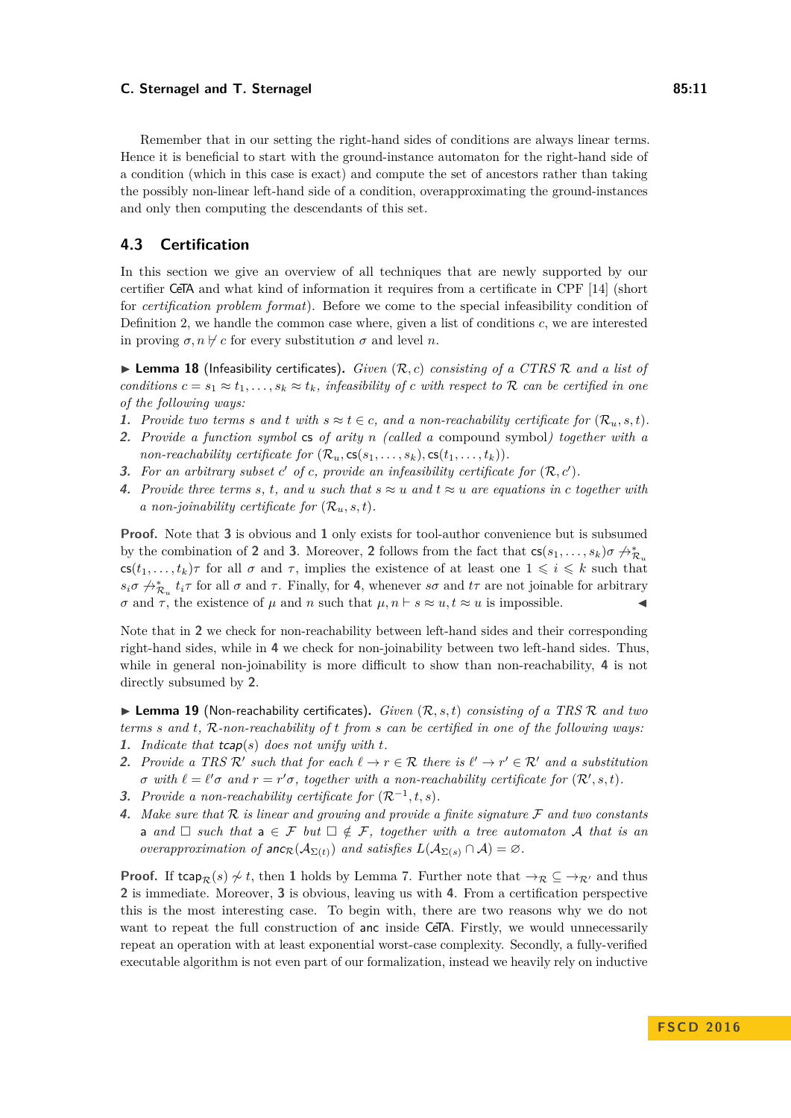Remember that in our setting the right-hand sides of conditions are always linear terms. Hence it is beneficial to start with the ground-instance automaton for the right-hand side of a condition (which in this case is exact) and compute the set of ancestors rather than taking the possibly non-linear left-hand side of a condition, overapproximating the ground-instances and only then computing the descendants of this set.

# <span id="page-10-0"></span>**4.3 Certification**

In this section we give an overview of all techniques that are newly supported by our certifier CeTA and what kind of information it requires from a certificate in CPF [\[14\]](#page-15-3) (short for *certification problem format*). Before we come to the special infeasibility condition of Definition [2,](#page-3-4) we handle the common case where, given a list of conditions *c*, we are interested in proving  $\sigma$ ,  $n \not\vdash c$  for every substitution  $\sigma$  and level *n*.

<span id="page-10-7"></span>▶ **Lemma 18** (Infeasibility certificates). *Given* (*R*, *c*) *consisting of a CTRS R and a list of conditions*  $c = s_1 \approx t_1, \ldots, s_k \approx t_k$ *, infeasibility of c with respect to* R *can be certified in one of the following ways:*

- **1.** Provide two terms s and t with  $s \approx t \in c$ , and a non-reachability certificate for  $(\mathcal{R}_u, s, t)$ .
- **2.** *Provide a function symbol* cs *of arity n (called a* compound symbol*) together with a non-reachability certificate for*  $(\mathcal{R}_u, \mathsf{cs}(s_1, \ldots, s_k), \mathsf{cs}(t_1, \ldots, t_k)).$
- <span id="page-10-1"></span>**3.** For an arbitrary subset  $c'$  of  $c$ , provide an infeasibility certificate for  $(\mathcal{R}, c')$ .
- <span id="page-10-2"></span>**4.** Provide three terms s, t, and *u* such that  $s \approx u$  and  $t \approx u$  are equations in *c* together with *a* non-joinability certificate for  $(\mathcal{R}_u, s, t)$ .

**Proof.** Note that **[3](#page-10-1)** is obvious and **[1](#page-11-1)** only exists for tool-author convenience but is subsumed by the combination of **[2](#page-11-2)** and **[3](#page-10-1)**. Moreover, **2** follows from the fact that  $cs(s_1, \ldots, s_k)\sigma \nleftrightarrow^*_{\mathcal{R}_u}$  $\text{cs}(t_1, \ldots, t_k)\tau$  for all  $\sigma$  and  $\tau$ , implies the existence of at least one  $1 \leq i \leq k$  such that  $s_i\sigma \nightharpoonup^*_{\mathcal{R}_u} t_i\tau$  for all  $\sigma$  and  $\tau$ . Finally, for [4](#page-10-2), whenever  $s\sigma$  and  $t\tau$  are not joinable for arbitrary *σ* and *τ*, the existence of *μ* and *n* such that  $\mu$ ,  $n \vdash s \approx u$ ,  $t \approx u$  is impossible.

Note that in **[2](#page-11-2)** we check for non-reachability between left-hand sides and their corresponding right-hand sides, while in **[4](#page-10-2)** we check for non-joinability between two left-hand sides. Thus, while in general non-joinability is more difficult to show than non-reachability, **[4](#page-10-2)** is not directly subsumed by **[2](#page-11-2)**.

I **Lemma 19** (Non-reachability certificates)**.** *Given* (R*, s, t*) *consisting of a TRS* R *and two terms s and t,* R*-non-reachability of t from s can be certified in one of the following ways:*

- <span id="page-10-3"></span>**1.** *Indicate that* tcap(*s*) *does not unify with t.*
- <span id="page-10-4"></span>**2.** Provide a TRS  $\mathcal{R}'$  such that for each  $\ell \to r \in \mathcal{R}$  there is  $\ell' \to r' \in \mathcal{R}'$  and a substitution  $\sigma$  with  $\ell = \ell' \sigma$  and  $r = r' \sigma$ , together with a non-reachability certificate for  $(\mathcal{R}', s, t)$ .
- <span id="page-10-5"></span>**3.** *Provide a non-reachability certificate for*  $(\mathcal{R}^{-1}, t, s)$ *.*
- <span id="page-10-6"></span>**4.** *Make sure that* R *is linear and growing and provide a finite signature* F *and two constants* a and  $\Box$  such that  $a \in \mathcal{F}$  but  $\Box \notin \mathcal{F}$ , together with a tree automaton A that is an *overapproximation of*  $\text{anc}_{\mathcal{R}}(\mathcal{A}_{\Sigma(t)})$  *and satisfies*  $L(\mathcal{A}_{\Sigma(s)} \cap \mathcal{A}) = \emptyset$ *.*

**Proof.** If tcap<sub>R</sub>(*s*)  $\not\sim t$ , then [1](#page-10-3) holds by Lemma [7.](#page-6-2) Further note that  $\neg R \subseteq \neg R$  and thus **[2](#page-10-4)** is immediate. Moreover, **[3](#page-10-5)** is obvious, leaving us with **[4](#page-10-6)**. From a certification perspective this is the most interesting case. To begin with, there are two reasons why we do not want to repeat the full construction of anc inside CeTA. Firstly, we would unnecessarily repeat an operation with at least exponential worst-case complexity. Secondly, a fully-verified executable algorithm is not even part of our formalization, instead we heavily rely on inductive

**F S CD 2 0 1 6**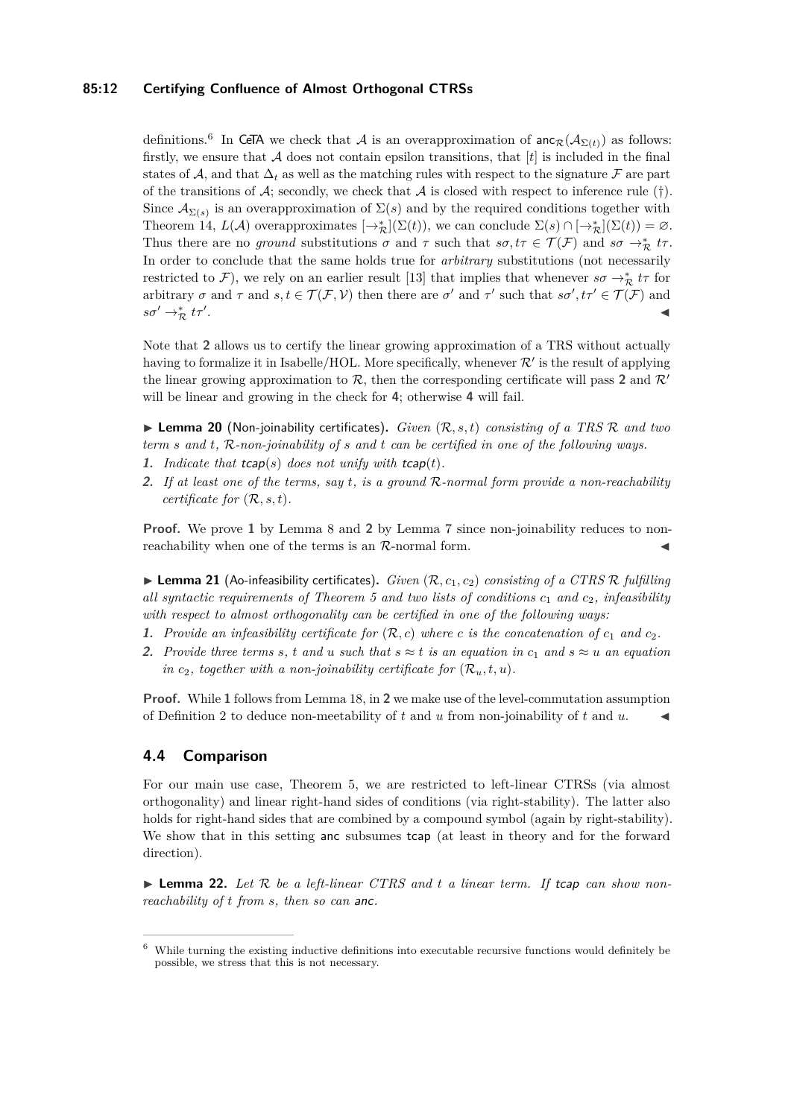# **85:12 Certifying Confluence of Almost Orthogonal CTRSs**

definitions.<sup>[6](#page-11-3)</sup> In CeTA we check that A is an overapproximation of  $\text{anc}_{\mathcal{R}}(\mathcal{A}_{\Sigma(t)})$  as follows: firstly, we ensure that  $A$  does not contain epsilon transitions, that  $[t]$  is included in the final states of A, and that  $\Delta_t$  as well as the matching rules with respect to the signature F are part of the transitions of  $\mathcal{A}$ ; secondly, we check that  $\mathcal{A}$  is closed with respect to inference rule ([†](#page-7-0)). Since  $\mathcal{A}_{\Sigma(s)}$  is an overapproximation of  $\Sigma(s)$  and by the required conditions together with Theorem [14,](#page-8-0)  $L(\mathcal{A})$  overapproximates  $[\rightarrow_{\mathcal{R}}^*](\Sigma(t))$ , we can conclude  $\Sigma(s) \cap [\rightarrow_{\mathcal{R}}^*](\Sigma(t)) = \varnothing$ . Thus there are no *ground* substitutions  $\sigma$  and  $\tau$  such that  $s\sigma, t\tau \in \mathcal{T}(\mathcal{F})$  and  $s\sigma \to^*_{\mathcal{R}} t\tau$ . In order to conclude that the same holds true for *arbitrary* substitutions (not necessarily restricted to  $\mathcal{F}$ ), we rely on an earlier result [\[13\]](#page-15-7) that implies that whenever  $s\sigma \to^*_{\mathcal{R}} t\tau$  for arbitrary  $\sigma$  and  $\tau$  and  $s, t \in \mathcal{T}(\mathcal{F}, \mathcal{V})$  then there are  $\sigma'$  and  $\tau'$  such that  $s\sigma', t\tau' \in \mathcal{T}(\mathcal{F})$  and  $s\sigma' \rightarrow_{\mathcal{R}}^* t\tau'$ . J

Note that **[2](#page-10-4)** allows us to certify the linear growing approximation of a TRS without actually having to formalize it in Isabelle/HOL. More specifically, whenever  $\mathcal{R}'$  is the result of applying the linear growing approximation to  $\mathcal{R}$ , then the corresponding certificate will pass [2](#page-10-4) and  $\mathcal{R}'$ will be linear and growing in the check for **[4](#page-10-6)**; otherwise **[4](#page-10-6)** will fail.

 $\blacktriangleright$  **Lemma 20** (Non-joinability certificates). *Given*  $(\mathcal{R}, s, t)$  *consisting of a TRS*  $\mathcal{R}$  *and two term s and t,* R*-non-joinability of s and t can be certified in one of the following ways.*

- <span id="page-11-1"></span>**1.** Indicate that  $t \text{cap}(s)$  does not unify with  $t \text{cap}(t)$ .
- <span id="page-11-2"></span>**2.** *If at least one of the terms, say t, is a ground* R*-normal form provide a non-reachability certificate for*  $(\mathcal{R}, s, t)$ *.*

**Proof.** We prove [1](#page-11-1) by Lemma [8](#page-6-3) and [2](#page-11-2) by Lemma [7](#page-6-2) since non-joinability reduces to nonreachability when one of the terms is an  $\mathcal{R}$ -normal form.

<span id="page-11-0"></span> $\blacktriangleright$  **Lemma 21** (Ao-infeasibility certificates). *Given*  $(\mathcal{R}, c_1, c_2)$  *consisting of a CTRS*  $\mathcal{R}$  *fulfilling all syntactic requirements of Theorem [5](#page-4-0) and two lists of conditions c*<sup>1</sup> *and c*2*, infeasibility with respect to almost orthogonality can be certified in one of the following ways:*

- <span id="page-11-4"></span>**1.** Provide an infeasibility certificate for  $(R, c)$  where c is the concatenation of  $c_1$  and  $c_2$ .
- <span id="page-11-5"></span>**2.** Provide three terms s, t and *u* such that  $s \approx t$  is an equation in  $c_1$  and  $s \approx u$  an equation *in*  $c_2$ , *together with a non-joinability certificate for*  $(\mathcal{R}_u, t, u)$ *.*

**Proof.** While [1](#page-11-4) follows from Lemma [18,](#page-10-7) in [2](#page-11-5) we make use of the level-commutation assumption of Definition [2](#page-3-4) to deduce non-meetability of  $t$  and  $u$  from non-joinability of  $t$  and  $u$ .

# **4.4 Comparison**

For our main use case, Theorem [5,](#page-4-0) we are restricted to left-linear CTRSs (via almost orthogonality) and linear right-hand sides of conditions (via right-stability). The latter also holds for right-hand sides that are combined by a compound symbol (again by right-stability). We show that in this setting anc subsumes tcap (at least in theory and for the forward direction).

 $\triangleright$  **Lemma 22.** Let  $\mathcal{R}$  be a left-linear CTRS and t a linear term. If tcap can show non*reachability of t from s, then so can* anc*.*

<span id="page-11-3"></span><sup>6</sup> While turning the existing inductive definitions into executable recursive functions would definitely be possible, we stress that this is not necessary.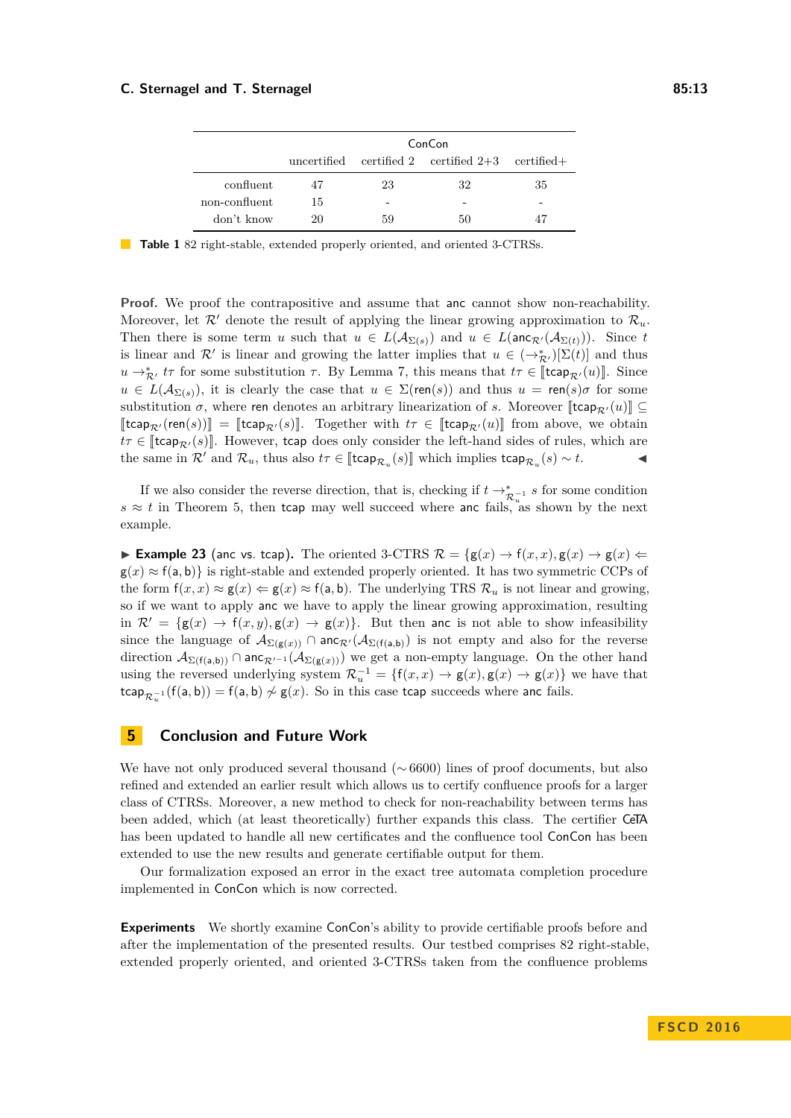<span id="page-12-1"></span>

|               | ConCon |    |                                                       |    |
|---------------|--------|----|-------------------------------------------------------|----|
|               |        |    | uncertified certified 2 certified $2+3$ certified $+$ |    |
| confluent     | 47     | 23 | 32                                                    | 35 |
| non-confluent | 15     | -  |                                                       | -  |
| don't know    | 20     | 59 | 50                                                    |    |

**Table 1** 82 right-stable, extended properly oriented, and oriented 3-CTRSs.

**Proof.** We proof the contrapositive and assume that anc cannot show non-reachability. Moreover, let  $\mathcal{R}'$  denote the result of applying the linear growing approximation to  $\mathcal{R}_u$ . Then there is some term *u* such that  $u \in L(\mathcal{A}_{\Sigma(s)})$  and  $u \in L(\mathsf{anc}_{\mathcal{R}'}(\mathcal{A}_{\Sigma(t)}))$ . Since *t* is linear and  $\mathcal{R}'$  is linear and growing the latter implies that  $u \in (\to_{\mathcal{R}'}^*)[\Sigma(t)]$  and thus  $u \rightarrow_{\mathcal{R}}^* t\tau$  for some substitution  $\tau$ . By Lemma [7,](#page-6-2) this means that  $t\tau \in [\text{tcap}_{\mathcal{R}}(u)]$ . Since  $u \in L(\mathcal{A}_{\Sigma(s)})$ , it is clearly the case that  $u \in \Sigma(\text{ren}(s))$  and thus  $u = \text{ren}(s)\sigma$  for some substitution  $\sigma$ , where ren denotes an arbitrary linearization of *s*. Moreover [tcap<sub>R'</sub> $(u)$ ] ⊆  $[\mathsf{tcap}_{\mathcal{R}'}(\mathsf{ren}(s))] = [\mathsf{tcap}_{\mathcal{R}'}(s)]$ . Together with  $t\tau \in [\mathsf{tcap}_{\mathcal{R}'}(u)]$  from above, we obtain  $t\tau \in [\text{tcap}_{R'}(s)]$ . However, tcap does only consider the left-hand sides of rules, which are the same in  $\mathcal{R}'$  and  $\mathcal{R}_u$ , thus also  $t\tau \in [\text{tcap}_{\mathcal{R}_u}(s)]$  which implies  $\text{tcap}_{\mathcal{R}_u}(s) \sim t$ .

If we also consider the reverse direction, that is, checking if  $t \to_{\mathcal{R}_u^{-1}}^* s$  for some condition  $s \approx t$  in Theorem [5,](#page-4-0) then tcap may well succeed where anc fails, as shown by the next example.

**Example 23** (anc vs. tcap). The oriented 3-CTRS  $\mathcal{R} = \{g(x) \to f(x,x), g(x) \to g(x) \in$  $g(x) \approx f(a, b)$  is right-stable and extended properly oriented. It has two symmetric CCPs of the form  $f(x, x) \approx g(x) \Leftarrow g(x) \approx f(a, b)$ . The underlying TRS  $\mathcal{R}_u$  is not linear and growing, so if we want to apply anc we have to apply the linear growing approximation, resulting in  $\mathcal{R}' = \{g(x) \to f(x, y), g(x) \to g(x)\}\$ . But then anc is not able to show infeasibility since the language of  $\mathcal{A}_{\Sigma(g(x))}$  ∩ anc<sub>R'</sub>( $\mathcal{A}_{\Sigma(f(a,b))}$ ) is not empty and also for the reverse direction  $\mathcal{A}_{\Sigma(f(a,b))}$  ∩ anc<sub> $\mathcal{R}^{f-1}(\mathcal{A}_{\Sigma(g(x))})$  we get a non-empty language. On the other hand</sub> using the reversed underlying system  $\mathcal{R}_u^{-1} = \{f(x,x) \to g(x), g(x) \to g(x)\}\$ we have that  $\mathsf{tcap}_{\mathcal{R}_u^{-1}}(\mathsf{f}(\mathsf{a},\mathsf{b})) = \mathsf{f}(\mathsf{a},\mathsf{b}) \not\sim \mathsf{g}(x).$  So in this case  $\mathsf{tcap}$  succeeds where anc fails.

# <span id="page-12-0"></span>**5 Conclusion and Future Work**

We have not only produced several thousand ( $\sim$  6600) lines of proof documents, but also refined and extended an earlier result which allows us to certify confluence proofs for a larger class of CTRSs. Moreover, a new method to check for non-reachability between terms has been added, which (at least theoretically) further expands this class. The certifier CeTA has been updated to handle all new certificates and the confluence tool ConCon has been extended to use the new results and generate certifiable output for them.

Our formalization exposed an error in the exact tree automata completion procedure implemented in ConCon which is now corrected.

**Experiments** We shortly examine ConCon's ability to provide certifiable proofs before and after the implementation of the presented results. Our testbed comprises 82 right-stable, extended properly oriented, and oriented 3-CTRSs taken from the confluence problems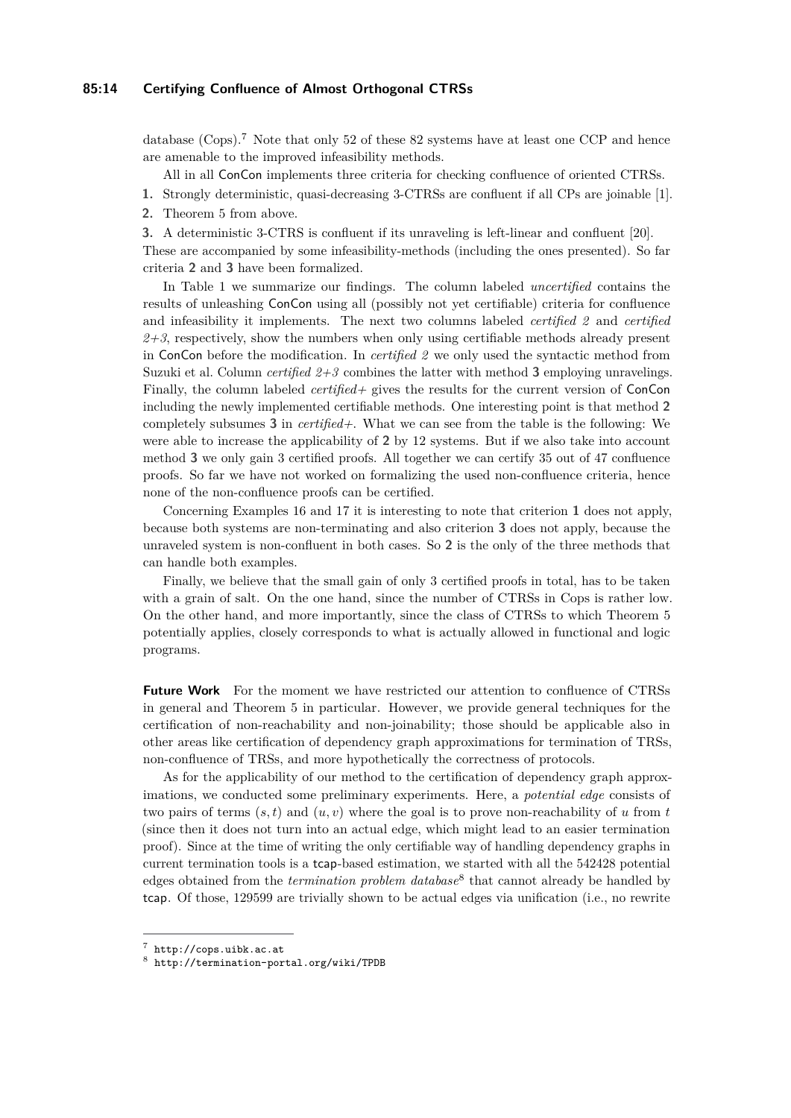## **85:14 Certifying Confluence of Almost Orthogonal CTRSs**

database (Cops).[7](#page-13-0) Note that only 52 of these 82 systems have at least one CCP and hence are amenable to the improved infeasibility methods.

All in all ConCon implements three criteria for checking confluence of oriented CTRSs.

<span id="page-13-3"></span>**1.** Strongly deterministic, quasi-decreasing 3-CTRSs are confluent if all CPs are joinable [\[1\]](#page-14-11).

<span id="page-13-1"></span>**2.** Theorem [5](#page-4-0) from above.

<span id="page-13-2"></span>**3.** A deterministic 3-CTRS is confluent if its unraveling is left-linear and confluent [\[20\]](#page-15-8).

These are accompanied by some infeasibility-methods (including the ones presented). So far criteria **[2](#page-13-1)** and **[3](#page-13-2)** have been formalized.

In Table [1](#page-12-1) we summarize our findings. The column labeled *uncertified* contains the results of unleashing ConCon using all (possibly not yet certifiable) criteria for confluence and infeasibility it implements. The next two columns labeled *certified 2* and *certified*  $2+3$ , respectively, show the numbers when only using certifiable methods already present in ConCon before the modification. In *certified 2* we only used the syntactic method from Suzuki et al. Column *certified 2+3* combines the latter with method **[3](#page-13-2)** employing unravelings. Finally, the column labeled *certified+* gives the results for the current version of ConCon including the newly implemented certifiable methods. One interesting point is that method **[2](#page-13-1)** completely subsumes **[3](#page-13-2)** in *certified+*. What we can see from the table is the following: We were able to increase the applicability of **[2](#page-13-1)** by 12 systems. But if we also take into account method **[3](#page-13-2)** we only gain 3 certified proofs. All together we can certify 35 out of 47 confluence proofs. So far we have not worked on formalizing the used non-confluence criteria, hence none of the non-confluence proofs can be certified.

Concerning Examples [16](#page-9-3) and [17](#page-9-4) it is interesting to note that criterion **[1](#page-13-3)** does not apply, because both systems are non-terminating and also criterion **[3](#page-13-2)** does not apply, because the unraveled system is non-confluent in both cases. So **[2](#page-13-1)** is the only of the three methods that can handle both examples.

Finally, we believe that the small gain of only 3 certified proofs in total, has to be taken with a grain of salt. On the one hand, since the number of CTRSs in Cops is rather low. On the other hand, and more importantly, since the class of CTRSs to which Theorem [5](#page-4-0) potentially applies, closely corresponds to what is actually allowed in functional and logic programs.

**Future Work** For the moment we have restricted our attention to confluence of CTRSs in general and Theorem [5](#page-4-0) in particular. However, we provide general techniques for the certification of non-reachability and non-joinability; those should be applicable also in other areas like certification of dependency graph approximations for termination of TRSs, non-confluence of TRSs, and more hypothetically the correctness of protocols.

As for the applicability of our method to the certification of dependency graph approximations, we conducted some preliminary experiments. Here, a *potential edge* consists of two pairs of terms  $(s, t)$  and  $(u, v)$  where the goal is to prove non-reachability of *u* from *t* (since then it does not turn into an actual edge, which might lead to an easier termination proof). Since at the time of writing the only certifiable way of handling dependency graphs in current termination tools is a tcap-based estimation, we started with all the 542428 potential edges obtained from the *termination problem database*[8](#page-13-4) that cannot already be handled by tcap. Of those, 129599 are trivially shown to be actual edges via unification (i.e., no rewrite

<span id="page-13-0"></span> $\frac{7}{7}$  <http://cops.uibk.ac.at>

<span id="page-13-4"></span><sup>8</sup> <http://termination-portal.org/wiki/TPDB>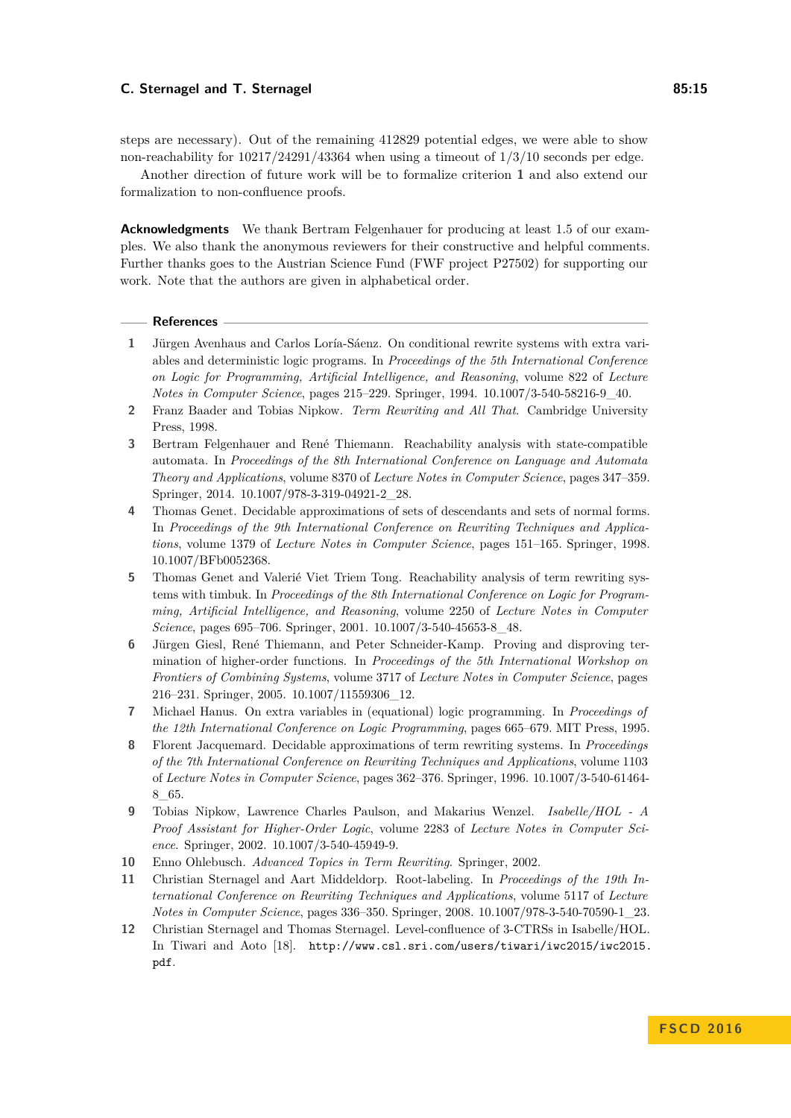steps are necessary). Out of the remaining 412829 potential edges, we were able to show non-reachability for  $10217/24291/43364$  when using a timeout of  $1/3/10$  seconds per edge.

Another direction of future work will be to formalize criterion **[1](#page-13-3)** and also extend our formalization to non-confluence proofs.

**Acknowledgments** We thank Bertram Felgenhauer for producing at least 1.5 of our examples. We also thank the anonymous reviewers for their constructive and helpful comments. Further thanks goes to the Austrian Science Fund (FWF project P27502) for supporting our work. Note that the authors are given in alphabetical order.

#### **References**

- <span id="page-14-11"></span>**1** Jürgen Avenhaus and Carlos Loría-Sáenz. On conditional rewrite systems with extra variables and deterministic logic programs. In *Proceedings of the 5th International Conference on Logic for Programming, Artificial Intelligence, and Reasoning*, volume 822 of *Lecture Notes in Computer Science*, pages 215–229. Springer, 1994. [10.1007/3-540-58216-9\\_40.](http://dx.doi.org/10.1007/3-540-58216-9_40)
- <span id="page-14-5"></span>**2** Franz Baader and Tobias Nipkow. *Term Rewriting and All That*. Cambridge University Press, 1998.
- <span id="page-14-4"></span>**3** Bertram Felgenhauer and René Thiemann. Reachability analysis with state-compatible automata. In *Proceedings of the 8th International Conference on Language and Automata Theory and Applications*, volume 8370 of *Lecture Notes in Computer Science*, pages 347–359. Springer, 2014. [10.1007/978-3-319-04921-2\\_28.](http://dx.doi.org/10.1007/978-3-319-04921-2_28)
- <span id="page-14-9"></span>**4** Thomas Genet. Decidable approximations of sets of descendants and sets of normal forms. In *Proceedings of the 9th International Conference on Rewriting Techniques and Applications*, volume 1379 of *Lecture Notes in Computer Science*, pages 151–165. Springer, 1998. [10.1007/BFb0052368.](http://dx.doi.org/10.1007/BFb0052368)
- <span id="page-14-10"></span>**5** Thomas Genet and Valerié Viet Triem Tong. Reachability analysis of term rewriting systems with timbuk. In *Proceedings of the 8th International Conference on Logic for Programming, Artificial Intelligence, and Reasoning*, volume 2250 of *Lecture Notes in Computer Science*, pages 695–706. Springer, 2001. [10.1007/3-540-45653-8\\_48.](http://dx.doi.org/10.1007/3-540-45653-8_48)
- <span id="page-14-7"></span>**6** Jürgen Giesl, René Thiemann, and Peter Schneider-Kamp. Proving and disproving termination of higher-order functions. In *Proceedings of the 5th International Workshop on Frontiers of Combining Systems*, volume 3717 of *Lecture Notes in Computer Science*, pages 216–231. Springer, 2005. [10.1007/11559306\\_12.](http://dx.doi.org/10.1007/11559306_12)
- <span id="page-14-8"></span>**7** Michael Hanus. On extra variables in (equational) logic programming. In *Proceedings of the 12th International Conference on Logic Programming*, pages 665–679. MIT Press, 1995.
- <span id="page-14-3"></span>**8** Florent Jacquemard. Decidable approximations of term rewriting systems. In *Proceedings of the 7th International Conference on Rewriting Techniques and Applications*, volume 1103 of *Lecture Notes in Computer Science*, pages 362–376. Springer, 1996. [10.1007/3-540-61464-](http://dx.doi.org/10.1007/3-540-61464-8_65) [8\\_65.](http://dx.doi.org/10.1007/3-540-61464-8_65)
- <span id="page-14-0"></span>**9** Tobias Nipkow, Lawrence Charles Paulson, and Makarius Wenzel. *Isabelle/HOL - A Proof Assistant for Higher-Order Logic*, volume 2283 of *Lecture Notes in Computer Science*. Springer, 2002. [10.1007/3-540-45949-9.](http://dx.doi.org/10.1007/3-540-45949-9)
- <span id="page-14-6"></span>**10** Enno Ohlebusch. *Advanced Topics in Term Rewriting*. Springer, 2002.
- <span id="page-14-1"></span>**11** Christian Sternagel and Aart Middeldorp. Root-labeling. In *Proceedings of the 19th International Conference on Rewriting Techniques and Applications*, volume 5117 of *Lecture Notes in Computer Science*, pages 336–350. Springer, 2008. [10.1007/978-3-540-70590-1\\_23.](http://dx.doi.org/10.1007/978-3-540-70590-1_23)
- <span id="page-14-2"></span>**12** Christian Sternagel and Thomas Sternagel. Level-confluence of 3-CTRSs in Isabelle/HOL. In Tiwari and Aoto [\[18\]](#page-15-6). [http://www.csl.sri.com/users/tiwari/iwc2015/iwc2015.](http://www.csl.sri.com/users/tiwari/iwc2015/iwc2015.pdf) [pdf](http://www.csl.sri.com/users/tiwari/iwc2015/iwc2015.pdf).